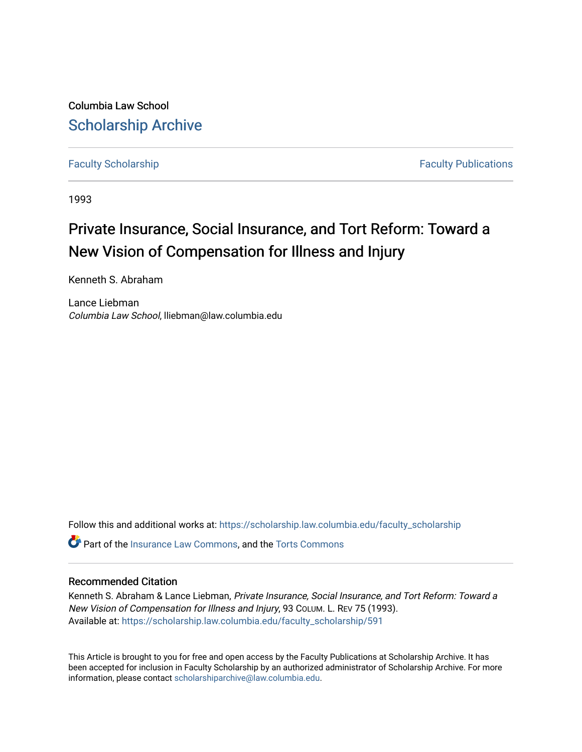Columbia Law School [Scholarship Archive](https://scholarship.law.columbia.edu/) 

[Faculty Scholarship](https://scholarship.law.columbia.edu/faculty_scholarship) **Faculty Scholarship Faculty Publications** 

1993

# Private Insurance, Social Insurance, and Tort Reform: Toward a New Vision of Compensation for Illness and Injury

Kenneth S. Abraham

Lance Liebman Columbia Law School, lliebman@law.columbia.edu

Follow this and additional works at: [https://scholarship.law.columbia.edu/faculty\\_scholarship](https://scholarship.law.columbia.edu/faculty_scholarship?utm_source=scholarship.law.columbia.edu%2Ffaculty_scholarship%2F591&utm_medium=PDF&utm_campaign=PDFCoverPages)

**C**<sup> $\bullet$ </sup> Part of the [Insurance Law Commons](http://network.bepress.com/hgg/discipline/607?utm_source=scholarship.law.columbia.edu%2Ffaculty_scholarship%2F591&utm_medium=PDF&utm_campaign=PDFCoverPages), and the [Torts Commons](http://network.bepress.com/hgg/discipline/913?utm_source=scholarship.law.columbia.edu%2Ffaculty_scholarship%2F591&utm_medium=PDF&utm_campaign=PDFCoverPages)

# Recommended Citation

Kenneth S. Abraham & Lance Liebman, Private Insurance, Social Insurance, and Tort Reform: Toward a New Vision of Compensation for Illness and Injury, 93 COLUM. L. REV 75 (1993). Available at: [https://scholarship.law.columbia.edu/faculty\\_scholarship/591](https://scholarship.law.columbia.edu/faculty_scholarship/591?utm_source=scholarship.law.columbia.edu%2Ffaculty_scholarship%2F591&utm_medium=PDF&utm_campaign=PDFCoverPages) 

This Article is brought to you for free and open access by the Faculty Publications at Scholarship Archive. It has been accepted for inclusion in Faculty Scholarship by an authorized administrator of Scholarship Archive. For more information, please contact [scholarshiparchive@law.columbia.edu.](mailto:scholarshiparchive@law.columbia.edu)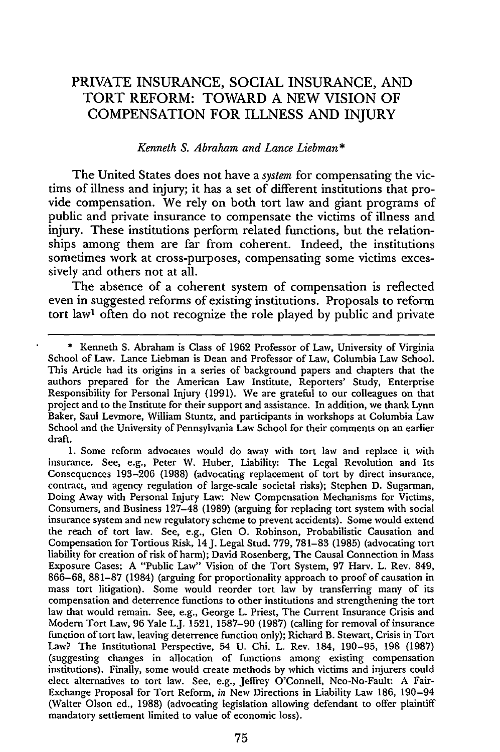# PRIVATE **INSURANCE,** SOCIAL **INSURANCE, AND** TORT REFORM: TOWARD **A NEW** VISION OF COMPENSATION FOR **ILLNESS AND** INJURY

### *Kenneth S. Abraham and Lance Liebman \**

The United States does not have a *system* for compensating the victims of illness and injury; it has a set of different institutions that provide compensation. We rely on both tort law and giant programs of public and private insurance to compensate the victims of illness and injury. These institutions perform related functions, but the relationships among them are far from coherent. Indeed, the institutions sometimes work at cross-purposes, compensating some victims excessively and others not at all.

The absence of a coherent system of compensation is reflected even in suggested reforms of existing institutions. Proposals to reform tort law' often do not recognize the role played by public and private

1. Some reform advocates would do away with tort law and replace it with insurance. See, e.g., Peter W. Huber, Liability: The Legal Revolution and Its Consequences 193-206 (1988) (advocating replacement of tort by direct insurance, contract, and agency regulation of large-scale societal risks); Stephen D. Sugarman, Doing Away with Personal Injury Law: New Compensation Mechanisms for Victims, Consumers, and Business 127-48 (1989) (arguing for replacing tort system with social insurance system and new regulatory scheme to prevent accidents). Some would extend the reach of tort law. See, e.g., Glen **0.** Robinson, Probabilistic Causation and Compensation for Tortious Risk, 14J. Legal Stud. 779, 781-83 (1985) (advocating tort liability for creation of risk of harm); David Rosenberg, The Causal Connection in Mass Exposure Cases: A "Public Law" Vision of the Tort System, 97 Harv. L. Rev. 849, 866-68, 881-87 (1984) (arguing for proportionality approach to proof of causation in mass tort litigation). Some would reorder tort law by transferring many of its compensation and deterrence functions to other institutions and strengthening the tort law that would remain. See, e.g., George L. Priest, The Current Insurance Crisis and Modem Tort Law, 96 Yale LJ. 1521, 1587-90 (1987) (calling for removal of insurance function of tort law, leaving deterrence function only); Richard B. Stewart, Crisis in Tort Law? The Institutional Perspective, 54 U. Chi. L. Rev. 184, 190-95, 198 (1987) (suggesting changes in allocation of functions among existing compensation institutions). Finally, some would create methods by which victims and injurers could elect alternatives to tort law. See, e.g., Jeffrey O'Connell, Neo-No-Fault: A Fair-Exchange Proposal for Tort Reform, *in* New Directions in Liability Law 186, 190-94 (Walter Olson ed., 1988) (advocating legislation allowing defendant to offer plaintiff mandatory settlement limited to value of economic loss).

<sup>\*</sup> Kenneth S. Abraham is Class of 1962 Professor of Law, University of Virginia School of Law. Lance Liebman is Dean and Professor **of** Law, Columbia Law School. This Article had its origins in a series of background papers and chapters that the authors prepared for the American Law Institute, Reporters' Study, Enterprise Responsibility for Personal Injury (1991). We are grateful to our colleagues on that project and to the Institute for their support and assistance. In addition, we thank Lynn Baker, Saul Levmore, William Stuntz, and participants in workshops at Columbia Law School and the University of Pennsylvania Law School for their comments on an earlier draft.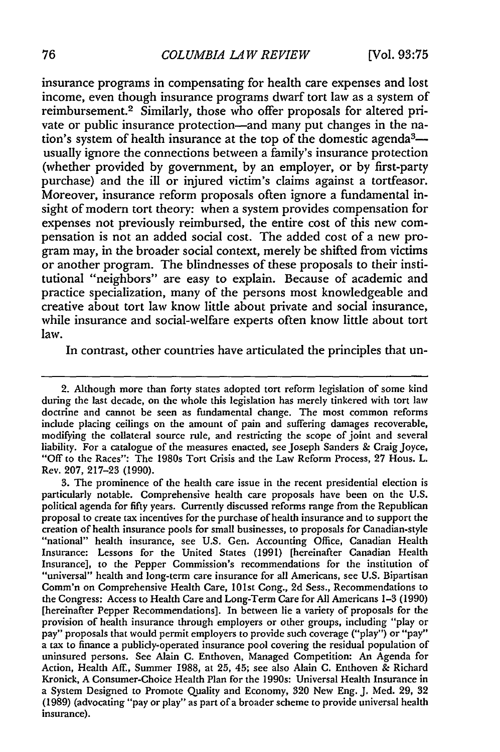insurance programs in compensating for health care expenses and lost income, even though insurance programs dwarf tort law as a system of reimbursement.2 Similarly, those who offer proposals for altered private or public insurance protection-and many put changes in the nation's system of health insurance at the top of the domestic agenda<sup>3</sup>usually ignore the connections between a family's insurance protection (whether provided by government, by an employer, or by first-party purchase) and the ill or injured victim's claims against a tortfeasor. Moreover, insurance reform proposals often ignore a fundamental insight of modern tort theory: when a system provides compensation for expenses not previously reimbursed, the entire cost of this new compensation is not an added social cost. The added cost of a new program may, in the broader social context, merely be shifted from victims or another program. The blindnesses of these proposals to their institutional "neighbors" are easy to explain. Because of academic and practice specialization, many of the persons most knowledgeable and creative about tort law know little about private and social insurance, while insurance and social-welfare experts often know little about tort law.

In contrast, other countries have articulated the principles that un-

2. Although more than forty states adopted tort reform legislation of some kind during the last decade, on the whole this legislation has merely tinkered with tort law doctrine and cannot be seen as fundamental change. The most common reforms include placing ceilings on the amount of pain and suffering damages recoverable, modifying the collateral source rule, and restricting the scope of joint and several liability. For a catalogue of the measures enacted, see Joseph Sanders & Craig Joyce, "Off to the Races": The 1980s Tort Crisis and the Law Reform Process, 27 Hous. L. Rev. 207, 217-23 (1990).

**3.** The prominence of the health care issue in the recent presidential election is particularly notable. Comprehensive health care proposals have been on the U.S. political agenda for fifty years. Currently discussed reforms range from the Republican proposal to create tax incentives for the purchase of health insurance and to support the creation of health insurance pools for small businesses, to proposals for Canadian-style "national" health insurance, see U.S. Gen. Accounting Office, Canadian Health Insurance: Lessons for the United States (1991) [hereinafter Canadian Health Insurance], to the Pepper Commission's recommendations for the institution of "universal" health and long-term care insurance for all Americans, see U.S. Bipartisan Comm'n on Comprehensive Health Care, 101st Cong., 2d Sess., Recommendations to the Congress: Access to Health Care and Long-Term Care for All Americans 1-3 (1990) [hereinafter Pepper Recommendations]. In between lie a variety of proposals for the provision of health insurance through employers or other groups, including "play or pay" proposals that would permit employers to provide such coverage ("play") or "pay" a tax to finance a publicly-operated insurance pool covering the residual population of uninsured persons. See Alain C. Enthoven, Managed Competition: An Agenda for Action, Health Aff., Summer 1988, at 25, 45; see also Alain C. Enthoven & Richard Kronick, A Consumer-Choice Health Plan for the 1990s: Universal Health Insurance in a System Designed to Promote Quality and Economy, 320 New Eng. **J.** Med. 29, 32 (1989) (advocating "pay or play" as part of a broader scheme to provide universal health insurance).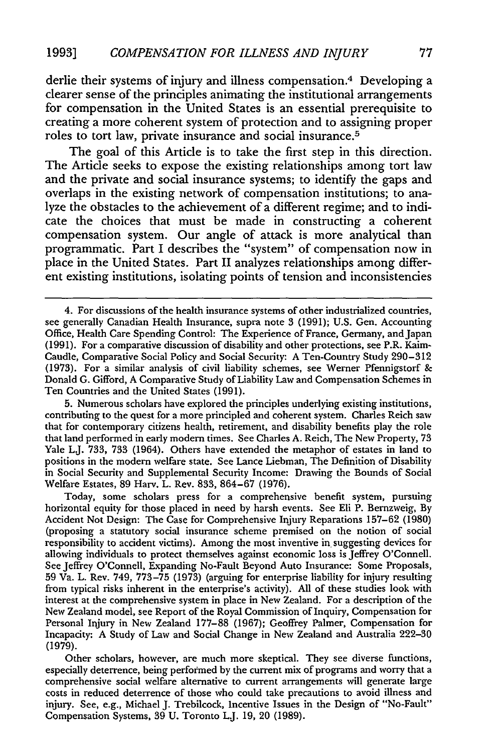derlie their systems of injury and illness compensation. 4 Developing a clearer sense of the principles animating the institutional arrangements for compensation in the United States is an essential prerequisite to creating a more coherent system of protection and to assigning proper roles to tort law, private insurance and social insurance. <sup>5</sup>

The goal of this Article is to take the first step in this direction. The Article seeks to expose the existing relationships among tort law and the private and social insurance systems; to identify the gaps and overlaps in the existing network of compensation institutions; to analyze the obstacles to the achievement of a different regime; and to indicate the choices that must be made in constructing a coherent compensation system. Our angle of attack is more analytical than programmatic. Part I describes the "system" of compensation now in place in the United States. Part II analyzes relationships among different existing institutions, isolating points of tension and inconsistencies

5. Numerous scholars have explored the principles underlying existing institutions, contributing to the quest for a more principled and coherent system. Charles Reich saw that for contemporary citizens health, retirement, and disability benefits play the role that land performed in early modern times. See Charles A. Reich, The New Property, 73 Yale LJ. 733, 733 (1964). Others have extended the metaphor of estates in land to positions in the modern welfare state. See Lance Liebman, The Definition of Disability in Social Security and Supplemental Security Income: Drawing the Bounds of Social Welfare Estates, 89 Harv. L. Rev. 833, 864-67 (1976).

Today, some scholars press for a comprehensive benefit system, pursuing horizontal equity for those placed in need by harsh events. See Eli P. Bernzweig, By Accident Not Design: The Case for Comprehensive Injury Reparations 157-62 (1980) (proposing a statutory social insurance scheme premised on the notion of social responsibility to accident victims). Among the most inventive in. suggesting devices for allowing individuals to protect themselves against economic loss is Jeffrey O'Connell. See Jeffrey O'Connell, Expanding No-Fault Beyond Auto Insurance: Some Proposals, 59 Va. L. Rev. 749, 773-75 (1973) (arguing for enterprise liability for injury resulting from typical risks inherent in the enterprise's activity). All of these studies look with interest at the comprehensive system in place in New Zealand. For a description of the New Zealand model, see Report of the Royal Commission of Inquiry, Compensation for Personal Injury in New Zealand 177-88 (1967); Geoffrey Palmer, Compensation for Incapacity: A Study of Law and Social Change in New Zealand and Australia 222-30 **(1979).**

Other scholars, however, are much more skeptical. They see diverse functions, especially deterrence, being performed by the current mix of programs and worry that a comprehensive social welfare alternative to current arrangements will generate large costs in reduced deterrence of those who could take precautions to avoid illness and injury. See, e.g., Michael J. Trebilcock, Incentive Issues in the Design of "No-Fault" Compensation Systems, 39 U. Toronto L.J. 19, 20 (1989).

<sup>4.</sup> For discussions of the health insurance systems of other industrialized countries, see generally Canadian Health Insurance, supra note 3 (1991); U.S. Gen. Accounting Office, Health Care Spending Control: The Experience of France, Germany, and Japan (1991). For a comparative discussion of disability and other protections, see P.R. Kaim-Caudle, Comparative Social Policy and Social Security: A Ten-Country Study 290-312 (1973). For a similar analysis of civil liability schemes, see Werner Pfennigstorf & Donald G. Gifford, A Comparative Study of Liability Law and Compensation Schemes in Ten Countries and the United States (1991).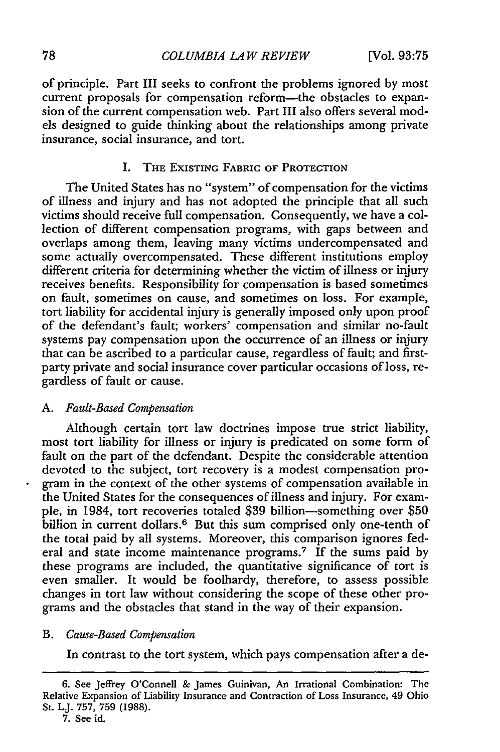of principle. Part III seeks to confront the problems ignored by most current proposals for compensation reform-the obstacles to expansion of the current compensation web. Part III also offers several models designed to guide thinking about the relationships among private insurance, social insurance, and tort.

## I. THE EXISTING FABRIC OF PROTECTION

The United States has no "system" of compensation for the victims of illness and injury and has not adopted the principle that all such victims should receive full compensation. Consequently, we have a collection of different compensation programs, with gaps between and overlaps among them, leaving many victims undercompensated and some actually overcompensated. These different institutions employ different criteria for determining whether the victim of illness or injury receives benefits. Responsibility for compensation is based sometimes on fault, sometimes on cause, and sometimes on loss. For example, tort liability for accidental injury is generally imposed only upon proof of the defendant's fault; workers' compensation and similar no-fault systems pay compensation upon the occurrence of an illness or injury that can be ascribed to a particular cause, regardless of fault; and firstparty private and social insurance cover particular occasions of loss, regardless of fault or cause.

#### *A. Fault-Based Compensation*

Although certain tort law doctrines impose true strict liability, most tort liability for illness or injury is predicated on some form of fault on the part of the defendant. Despite the considerable attention devoted to the subject, tort recovery is a modest compensation program in the context of the other systems of compensation available in the United States for the consequences of illness and injury. For example, in 1984, tort recoveries totaled \$39 billion-something over \$50 billion in current dollars.<sup>6</sup> But this sum comprised only one-tenth of the total paid by all systems. Moreover, this comparison ignores federal and state income maintenance programs.<sup>7</sup> If the sums paid by these programs are included, the quantitative significance of tort is even smaller. It would be foolhardy, therefore, to assess possible changes in tort law without considering the scope of these other programs and the obstacles that stand in the way of their expansion.

#### *B. Cause-Based Compensation*

In contrast to the tort system, which pays compensation after a de-

<sup>6.</sup> See Jeffrey O'Connell & James Guinivan, An Irrational Combination: The Relative Expansion of Liability Insurance and Contraction of Loss Insurance, 49 Ohio St. LJ. 757, 759 (1988).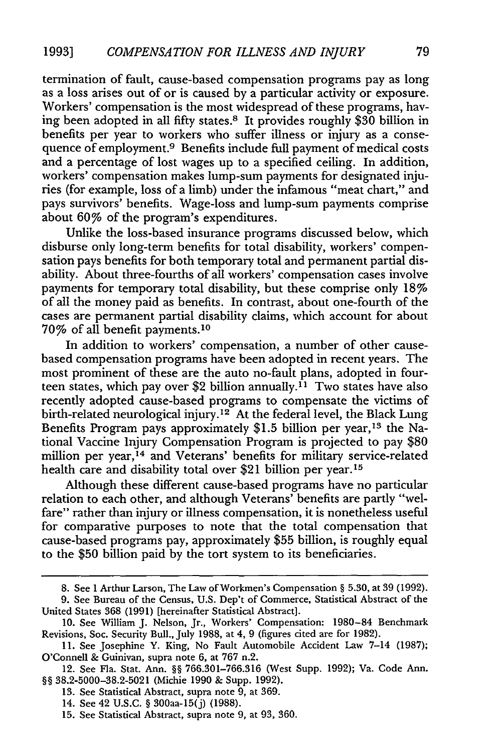termination of fault, cause-based compensation programs pay as long as a loss arises out of or is caused by a particular activity or exposure. Workers' compensation is the most widespread of these programs, having been adopted in all fifty states.8 It provides roughly \$30 billion in benefits per year to workers who suffer illness or injury as a consequence of employment.<sup>9</sup> Benefits include full payment of medical costs and a percentage of lost wages up to a specified ceiling. In addition, workers' compensation makes lump-sum payments for designated injuries (for example, loss of a limb) under the infamous "meat chart," and pays survivors' benefits. Wage-loss and lump-sum payments comprise about 60% of the program's expenditures.

Unlike the loss-based insurance programs discussed below, which disburse only long-term benefits for total disability, workers' compensation pays benefits for both temporary total and permanent partial disability. About three-fourths of all workers' compensation cases involve payments for temporary total disability, but these comprise only 18% of all the money paid as benefits. In contrast, about one-fourth of the cases are permanent partial disability claims, which account for about 70% of all benefit payments. <sup>10</sup>

In addition to workers' compensation, a number of other causebased compensation programs have been adopted in recent years. The most prominent of these are the auto no-fault plans, adopted in fourteen states, which pay over \$2 billion annually.<sup> $i_1$ </sup> Two states have also recently adopted cause-based programs to compensate the victims of birth-related neurological injury.<sup>12</sup> At the federal level, the Black Lung Benefits Program pays approximately \$1.5 billion per year,<sup>13</sup> the National Vaccine Injury Compensation Program is projected to pay \$80 million per year,<sup>14</sup> and Veterans' benefits for military service-related health care and disability total over \$21 billion per year.<sup>15</sup>

Although these different cause-based programs have no particular relation to each other, and although Veterans' benefits are partly "welfare" rather than injury or illness compensation, it is nonetheless useful for comparative purposes to note that the total compensation that cause-based programs pay, approximately **\$55** billion, is roughly equal to the \$50 billion paid by the tort system to its beneficiaries.

**<sup>8.</sup>** See 1 Arthur Larson, The Law of Workmen's Compensation § **5.30,** at 39 (1992).

<sup>9.</sup> See Bureau of the Census, U.S. Dep't of Commerce, Statistical Abstract of the United States 368 (1991) [hereinafter Statistical Abstract].

**<sup>10.</sup>** See William J. Nelson, Jr., Workers' Compensation: 1980-84 Benchmark Revisions, Soc. Security Bull., July 1988, at 4, 9 (figures cited are for 1982).

<sup>11.</sup> See Josephine Y. King, No Fault Automobile Accident Law 7-14 (1987); O'Connell & Guinivan, supra note 6, at 767 n.2.

<sup>12.</sup> See Fla. Stat. Ann. §§ 766.301-766.316 (West Supp. 1992); Va. Code Ann. §§ 38.2-5000-38.2-5021 (Michie 1990 & Supp. 1992).

<sup>13.</sup> See Statistical Abstract, supra note 9, at 369.

<sup>14.</sup> See 42 U.S.C. § 300aa-15(j) (1988).

**<sup>15.</sup>** See Statistical Abstract, supra note 9, at 93, 360.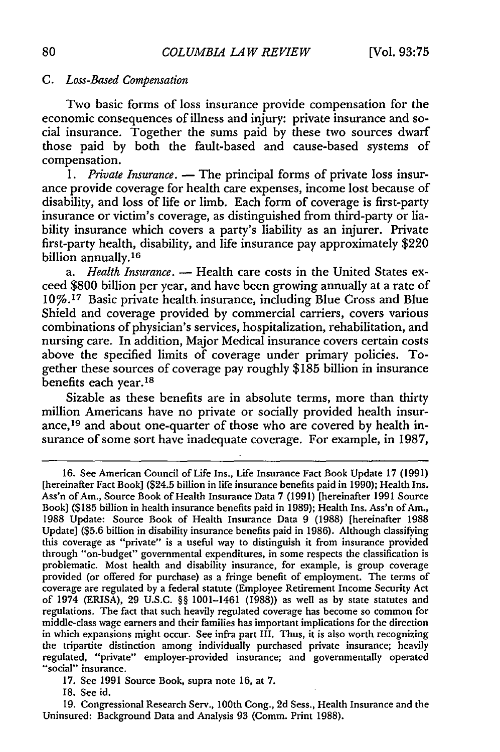#### *C. Loss-Based Compensation*

Two basic forms of loss insurance provide compensation for the economic consequences of illness and injury: private insurance and social insurance. Together the sums paid by these two sources dwarf those paid by both the fault-based and cause-based systems of compensation.

*1. Private Insurance.* **-** The principal forms of private loss insurance provide coverage for health care expenses, income lost because of disability, and loss of life or limb. Each form of coverage is first-party insurance or victim's coverage, as distinguished from third-party or liability insurance which covers a party's liability as an injurer. Private first-party health, disability, and life insurance pay approximately \$220 billion annually.<sup>16</sup>

*a. Health Insurance.* **-** Health care costs in the United States exceed \$800 billion per year, and have been growing annually at a rate of **10%. <sup>1</sup> <sup>7</sup>**Basic private health. insurance, including Blue Cross and Blue Shield and coverage provided by commercial carriers, covers various combinations of physician's services, hospitalization, rehabilitation, and nursing care. In addition, Major Medical insurance covers certain costs above the specified limits of coverage under primary policies. Together these sources of coverage pay roughly \$185 billion in insurance benefits each year.18

Sizable as these benefits are in absolute terms, more than thirty million Americans have no private or socially provided health insurance,<sup>19</sup> and about one-quarter of those who are covered by health insurance of some sort have inadequate coverage. For example, in 1987,

17. See 1991 Source Book, supra note 16, at 7.

18. See id.

19. Congressional Research Serv., 100th Cong., 2d Sess., Health Insurance and the Uninsured: Background Data and Analysis 93 (Comm. Print 1988).

<sup>16.</sup> See American Council of Life Ins., Life Insurance Fact Book Update 17 (1991) [hereinafter Fact Book] (\$24.5 billion in life insurance benefits paid in 1990); Health Ins. Ass'n of Am., Source Book of Health Insurance Data 7 (1991) [hereinafter 1991 Source Book] (\$185 billion in health insurance benefits paid in 1989); Health Ins. Ass'n of Am., 1988 Update: Source Book of Health Insurance Data 9 (1988) [hereinafter 1988 Update] (\$5.6 billion in disability insurance benefits paid in 1986). Although classifying this coverage as "private" is a useful way to distinguish it from insurance provided through "on-budget" governmental expenditures, in some respects the classification is problematic. Most health and disability insurance, for example, is group coverage provided (or offered for purchase) as a fringe benefit of employment. The terms of coverage are regulated by a federal statute (Employee Retirement Income Security Act of 1974 (ERISA), 29 U.S.C. §§ 1001-1461 (1988)) as well as by state statutes and regulations. The fact that such heavily regulated coverage has become so common for middle-class wage earners and their families has important implications for the direction in which expansions might occur. See infra part III. Thus, it is also worth recognizing the tripartite distinction among individually purchased private insurance; heavily regulated, "private" employer-provided insurance; and governmentally operated "social" insurance.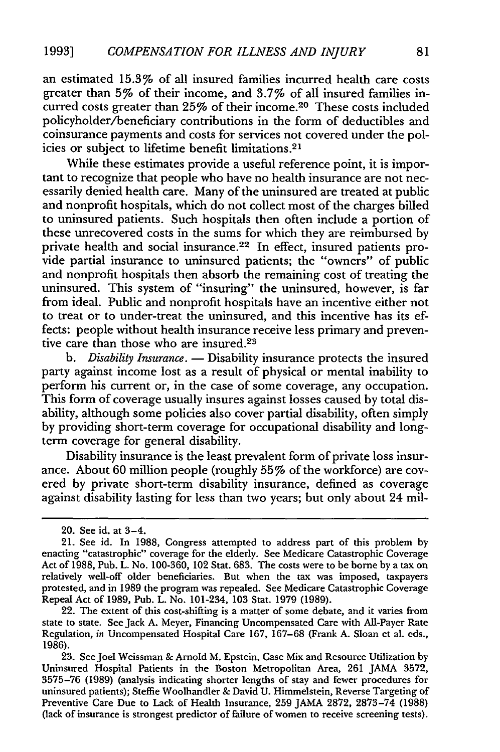an estimated 15.3% of all insured families incurred health care costs greater than 5% of their income, and 3.7% of all insured families incurred costs greater than 25% of their income.20 These costs included policyholder/beneficiary contributions in the form of deductibles and coinsurance payments and costs for services not covered under the policies or subject to lifetime benefit limitations.<sup>21</sup>

While these estimates provide a useful reference point, it is important to recognize that people who have no health insurance are not necessarily denied health care. Many of the uninsured are treated at public and nonprofit hospitals, which do not collect most of the charges billed to uninsured patients. Such hospitals then often include a portion of these unrecovered costs in the sums for which they are reimbursed by private health and social insurance.<sup>22</sup> In effect, insured patients provide partial insurance to uninsured patients; the "owners" of public and nonprofit hospitals then absorb the remaining cost of treating the uninsured. This system of "insuring" the uninsured, however, is far from ideal. Public and nonprofit hospitals have an incentive either not to treat or to under-treat the uninsured, and this incentive has its effects: people without health insurance receive less primary and preventive care than those who are insured.<sup>23</sup>

*b. Disability Insurance.* **-** Disability insurance protects the insured party against income lost as a result of physical or mental inability to perform his current or, in the case of some coverage, any occupation. This form of coverage usually insures against losses caused by total disability, although some policies also cover partial disability, often simply by providing short-term coverage for occupational disability and longterm coverage for general disability.

Disability insurance is the least prevalent form of private loss insurance. About 60 million people (roughly 55% of the workforce) are covered by private short-term disability insurance, defined as coverage against disability lasting for less than two years; but only about 24 mil-

<sup>20.</sup> See id. at 3-4.

<sup>21.</sup> See id. In 1988, Congress attempted to address part of this problem by enacting "catastrophic" coverage for the elderly. See Medicare Catastrophic Coverage Act of 1988, Pub. L. No. 100-360, 102 Stat. 683. The costs were to be borne by a tax on relatively well-off older beneficiaries. But when the tax was imposed, taxpayers protested, and in 1989 the program was repealed. See Medicare Catastrophic Coverage Repeal Act of 1989, Pub. L. No. 101-234, 103 Stat. 1979 (1989).

<sup>22.</sup> The extent of this cost-shifting is a matter of some debate, and it varies from state to state. See Jack A. Meyer, Financing Uncompensated Care with All-Payer Rate Regulation, *in* Uncompensated Hospital Care 167, 167-68 (Frank A. Sloan et al. eds., 1986).

<sup>23.</sup> See Joel Weissman & Arnold M. Epstein, Case Mix and Resource Utilization by Uninsured Hospital Patients in the Boston Metropolitan Area, 261 JAMA 3572, 3575-76 (1989) (analysis indicating shorter lengths of stay and fewer procedures for uninsured patients); Steffie Woolhandler & David U. Himmelstein, Reverse Targeting of Preventive Care Due to Lack of Health Insurance, 259 JAMA 2872, 2873-74 (1988) (lack of insurance is strongest predictor of failure of women to receive screening tests).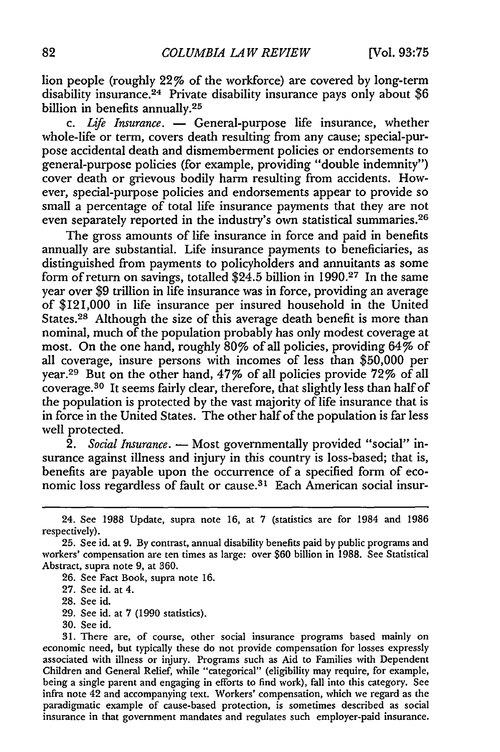lion people (roughly 22% of the workforce) are covered by long-term disability insurance. 24 Private disability insurance pays only about **\$6** billion in benefits annually.<sup>25</sup>

*c. Life Insurance.* **-** General-purpose life insurance, whether whole-life or term, covers death resulting from any cause; special-purpose accidental death and dismemberment policies or endorsements to general-purpose policies (for example, providing "double indemnity") cover death or grievous bodily harm resulting from accidents. However, special-purpose policies and endorsements appear to provide so small a percentage of total life insurance payments that they are not even separately reported in the industry's own statistical summaries. <sup>26</sup>

The gross amounts of life insurance in force and paid in benefits annually are substantial. Life insurance payments to beneficiaries, as distinguished from payments to policyholders and annuitants as some form of return on savings, totalled \$24.5 billion in 1990.27 In the same year over \$9 trillion in life insurance was in force, providing an average of \$121,000 in life insurance per insured household in the United States.<sup>28</sup> Although the size of this average death benefit is more than nominal, much of the population probably has only modest coverage at most. On the one hand, roughly 80% of all policies, providing 64% of all coverage, insure persons with incomes of less than \$50,000 per year.29 But on the other hand, 47% of all policies provide 72% of all coverage.30 It seems fairly clear, therefore, that slightly less than half of the population is protected by the vast majority of life insurance that is in force in the United States. The other half of the population is far less well protected.

*2. Social Insurance.* **-** Most governmentally provided "social" insurance against illness and injury in this country is loss-based; that is, benefits are payable upon the occurrence of a specified form of economic loss regardless of fault or cause.<sup>31</sup> Each American social insur-

26. See Fact Book, supra note 16.

28. See id.

29. See id. at 7 (1990 statistics).

30. See id.

31. There are, of course, other social insurance programs based mainly on economic need, but typically these do not provide compensation for losses expressly associated with illness or injury. Programs such as Aid to Families with Dependent Children and General Relief, while "categorical" (eligibility may require, for example, being a single parent and engaging in efforts to find work), fall into this category. See infra note 42 and accompanying text. Workers' compensation, which we regard as the paradigmatic example of cause-based protection, is sometimes described as social insurance in that government mandates and regulates such employer-paid insurance.

<sup>24.</sup> See 1988 Update, supra note 16, at 7 (statistics are for 1984 and 1986 respectively).

<sup>25.</sup> See id. at 9. By contrast, annual disability benefits paid by public programs and workers' compensation are ten times as large: over \$60 billion in 1988. See Statistical Abstract, supra note **9,** at 360.

<sup>27.</sup> See id. at 4.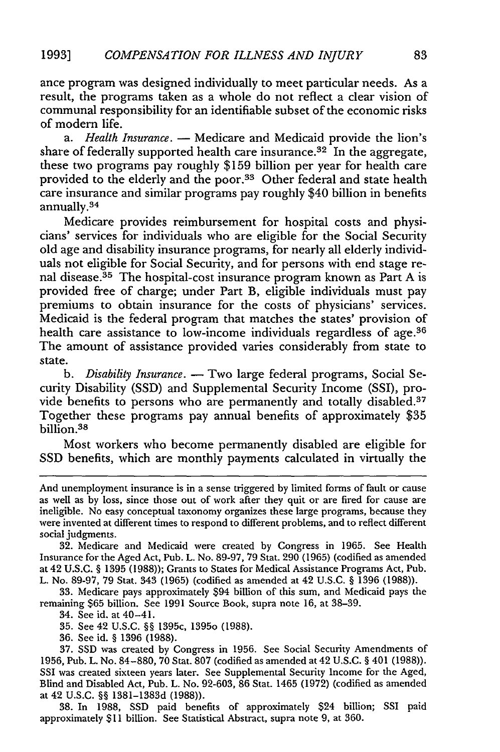ance program was designed individually to meet particular needs. As a result, the programs taken as a whole do not reflect a clear vision of communal responsibility for an identifiable subset of the economic risks of modern life.

*a. Health Insurance.* **-** Medicare and Medicaid provide the lion's share of federally supported health care insurance.<sup>32</sup> In the aggregate, these two programs pay roughly \$159 billion per year for health care provided to the elderly and the poor.<sup>33</sup> Other federal and state health care insurance and similar programs pay roughly \$40 billion in benefits annually.<sup>34</sup>

Medicare provides reimbursement for hospital costs and physicians' services for individuals who are eligible for the Social Security old age and disability insurance programs, for nearly all elderly individuals not eligible for Social Security, and for persons with end stage renal disease.<sup>35</sup> The hospital-cost insurance program known as Part A is provided free of charge; under Part B, eligible individuals must pay premiums to obtain insurance for the costs of physicians' services. Medicaid is the federal program that matches the states' provision of health care assistance to low-income individuals regardless of age.<sup>36</sup> The amount of assistance provided varies considerably from state to state.

*b. Disability Insurance.* **-** Two large federal programs, Social Security Disability (SSD) and Supplemental Security Income (SSI), provide benefits to persons who are permanently and totally disabled.<sup>37</sup> Together these programs pay annual benefits of approximately \$35 billion.<sup>38</sup>

Most workers who become permanently disabled are eligible for SSD benefits, which are monthly payments calculated in virtually the

33. Medicare pays approximately \$94 billion of this sum, and Medicaid pays the remaining **\$65** billion. See 1991 Source Book, supra note 16, at 38-39.

34. See id. at 40-4 1.

35. See 42 U.S.C. *§§* 1395c, 1395o (1988).

36. See id. **§** 1396 (1988).

38. In 1988, SSD paid benefits of approximately \$24 billion; SSI paid approximately \$11 billion. See Statistical Abstract, supra note 9, at 360.

And unemployment insurance is in a sense triggered by limited forms of fault or cause as well as by loss, since those out of work after they quit or are fired for cause are ineligible. No easy conceptual taxonomy organizes these large programs, because they were invented at different times to respond to different problems, and to reflect different social judgments.

<sup>32.</sup> Medicare and Medicaid were created by Congress in 1965. See Health Insurance for the Aged Act, Pub. L. No. 89-97, 79 Stat. 290 (1965) (codified as amended at 42 U.S.C. *§* 1395 (1988)); Grants to States for Medical Assistance Programs Act, Pub. L. No. 89-97, 79 Stat. 343 (1965) (codified as amended at 42 U.S.C. **§** 1396 (1988)).

<sup>37.</sup> SSD was created by Congress in 1956. See Social Security Amendments of 1956, Pub. L. No. 84-880, 70 Stat. 807 (codified as amended at 42 U.S.C. **§** 401 (1988)). SSI was created sixteen years later. See Supplemental Security Income for the Aged, Blind and Disabled Act, Pub. L. No. 92-603, 86 Stat. 1465 (1972) (codified as amended at 42 U.S.C. *§§* 1381-1383d (1988)).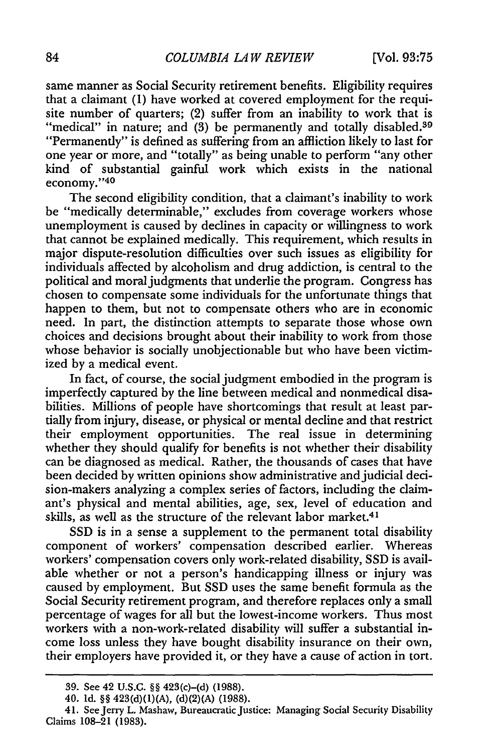same manner as Social Security retirement benefits. Eligibility requires that a claimant (1) have worked at covered employment for the requisite number of quarters; (2) suffer from an inability to work that is "medical" in nature; and (3) be permanently and totally disabled. <sup>39</sup> "Permanently" is defined as suffering from an affliction likely to last for one year or more, and "totally" as being unable to perform "any other kind of substantial gainful work which exists in the national economy."40

The second eligibility condition, that a claimant's inability to work be "medically determinable," excludes from coverage workers whose unemployment is caused by declines in capacity or willingness to work that cannot be explained medically. This requirement, which results in major dispute-resolution difficulties over such issues as eligibility for individuals affected by alcoholism and drug addiction, is central to the political and moral judgments that underlie the program. Congress has chosen to compensate some individuals for the unfortunate things that happen to them, but not to compensate others who are in economic need. In part, the distinction attempts to separate those whose own choices and decisions brought about their inability to work from those whose behavior is socially unobjectionable but who have been victimized by a medical event.

In fact, of course, the social judgment embodied in the program is imperfectly captured by the line between medical and nonmedical disabilities. Millions of people have shortcomings that result at least partially from injury, disease, or physical or mental decline and that restrict their employment opportunities. The real issue in determining whether they should qualify for benefits is not whether their disability can be diagnosed as medical. Rather, the thousands of cases that have been decided by written opinions show administrative and judicial decision-makers analyzing a complex series of factors, including the claimant's physical and mental abilities, age, sex, level of education and skills, as well as the structure of the relevant labor market.<sup>41</sup>

SSD is in a sense a supplement to the permanent total disability component of workers' compensation described earlier. Whereas workers' compensation covers only work-related disability, SSD is available whether or not a person's handicapping illness or injury was caused by employment. But SSD uses the same benefit formula as the Social Security retirement program, and therefore replaces only a small percentage of wages for all but the lowest-income workers. Thus most workers with a non-work-related disability will suffer a substantial income loss unless they have bought disability insurance on their own, their employers have provided it, or they have a cause of action in tort.

**<sup>39.</sup>** See 42 **U.S.C.** §§ 423(c)-(d) **(1988).**

<sup>40.</sup> Id. §§ 423(d)(1)(A), (d)(2)(A) (1988).

<sup>41.</sup> See Jerry L. Mashaw, Bureaucratic Justice: Managing Social Security Disability Claims 108-21 (1983).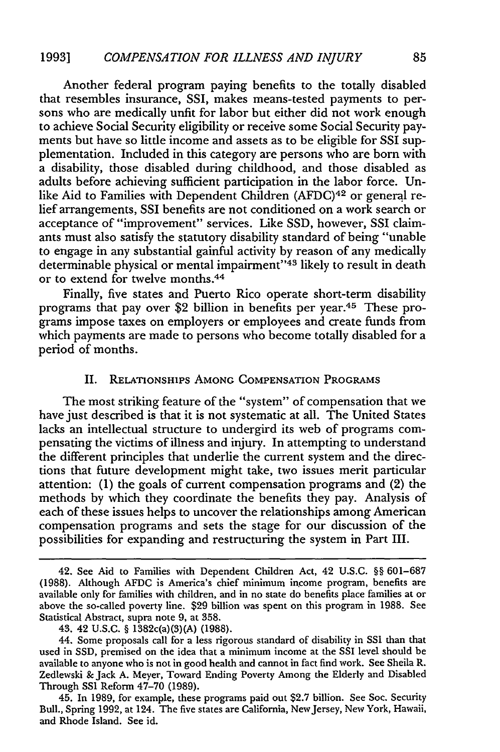Another federal program paying benefits to the totally disabled that resembles insurance, SSI, makes means-tested payments to persons who are medically unfit for labor but either did not work enough to achieve Social Security eligibility or receive some Social Security payments but have so little income and assets as to be eligible for SSI supplementation. Included in this category are persons who are born with a disability, those disabled during childhood, and those disabled as adults before achieving sufficient participation in the labor force. Unlike Aid to Families with Dependent Children (AFDC)<sup>42</sup> or general relief arrangements, SSI benefits are not conditioned on a work search or acceptance of "improvement" services. Like SSD, however, SSI claimants must also satisfy the statutory disability standard of being "unable to engage in any substantial gainful activity by reason of any medically determinable physical or mental impairment"<sup>43</sup> likely to result in death or to extend for twelve months. <sup>44</sup>

Finally, five states and Puerto Rico operate short-term disability programs that pay over \$2 billion in benefits per year.45 These programs impose taxes on employers or employees and create funds from which payments are made to persons who become totally disabled for a period of months.

## II. **RELATIONSHIPS** AMONG COMPENSATION PROGRAMS

The most striking feature of the "system" of compensation that we have just described is that it is not systematic at all. The United States lacks an intellectual structure to undergird its web of programs compensating the victims of illness and injury. In attempting to understand the different principles that underlie the current system and the directions that future development might take, two issues merit particular attention: (1) the goals of current compensation programs and (2) the methods by which they coordinate the benefits they pay. Analysis of each of these issues helps to uncover the relationships among American compensation programs and sets the stage for our discussion of the possibilities for expanding and restructuring the system in Part III.

<sup>42.</sup> See Aid to Families with Dependent Children Act, 42 U.S.C. §§ 601-687 (1988). Although AFDC is America's chief minimum inicome program, benefits are available only for families with children, and in no state do benefits place families at or above the so-called poverty line. \$29 billion was spent on this program in 1988. See Statistical Abstract, supra note 9, at 358.

<sup>43. 42</sup> U.S.C. § 1382c(a)(3)(A) (1988).

<sup>44.</sup> Some proposals call for a less rigorous standard of disability in SSI than that used in SSD, premised on the idea that a minimum income at the SSI level should be available to anyone who is not in good health and cannot in fact find work. See Sheila R. Zedlewski & Jack A. Meyer, Toward Ending Poverty Among the Elderly and Disabled Through SSI Reform 47-70 (1989).

<sup>45.</sup> In 1989, for example, these programs paid out \$2.7 billion. See Soc. Security Bull., Spring 1992, at 124. The five states are California, NewJersey, New York, Hawaii, and Rhode Island. See id.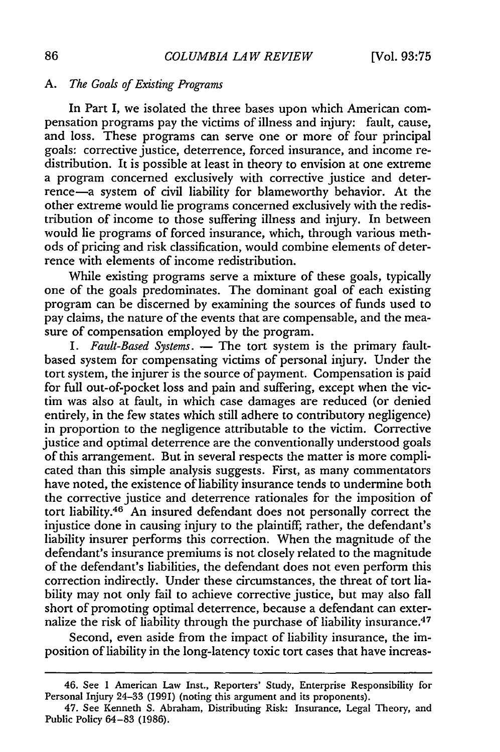# *A. The Goals of Existing Programs*

In Part I, we isolated the three bases upon which American compensation programs pay the victims of illness and injury: fault, cause, and loss. These programs can serve one or more of four principal goals: corrective justice, deterrence, forced insurance, and income redistribution. It is possible at least in theory to envision at one extreme a program concerned exclusively with corrective justice and deterrence-a system of civil liability for blameworthy behavior. At the other extreme would lie programs concerned exclusively with the redistribution of income to those suffering illness and injury. In between would lie programs of forced insurance, which, through various methods of pricing and risk classification, would combine elements of deterrence with elements of income redistribution.

While existing programs serve a mixture of these goals, typically one of the goals predominates. The dominant goal of each existing program can be discerned by examining the sources of funds used to pay claims, the nature of the events that are compensable, and the measure of compensation employed by the program.

1. Fault-Based Systems. **-** The tort system is the primary faultbased system for compensating victims of personal injury. Under the tort system, the injurer is the source of payment. Compensation is paid for full out-of-pocket loss and pain and suffering, except when the victim was also at fault, in which case damages are reduced (or denied entirely, in the few states which still adhere to contributory negligence) in proportion to the negligence attributable to the victim. Corrective justice and optimal deterrence are the conventionally understood goals of this arrangement. But in several respects the matter is more complicated than this simple analysis suggests. First, as many commentators have noted, the existence of liability insurance tends to undermine both the corrective justice and deterrence rationales for the imposition of tort liability.<sup>46</sup> An insured defendant does not personally correct the injustice done in causing injury to the plaintiff; rather, the defendant's liability insurer performs this correction. When the magnitude of the defendant's insurance premiums is not closely related to the magnitude of the defendant's liabilities, the defendant does not even perform this correction indirectly. Under these circumstances, the threat of tort liability may not only fail to achieve corrective justice, but may also fall short of promoting optimal deterrence, because a defendant can externalize the risk of liability through the purchase of liability insurance.<sup>47</sup>

Second, even aside from the impact of liability insurance, the imposition of liability in the long-latency toxic tort cases that have increas-

<sup>46.</sup> See **I** American Law Inst., Reporters' Study, Enterprise Responsibility for Personal Injury 24-33 (1991) (noting this argument and its proponents).

<sup>47.</sup> See Kenneth S. Abraham, Distributing Risk: Insurance, Legal Theory, and Public Policy 64-83 (1986).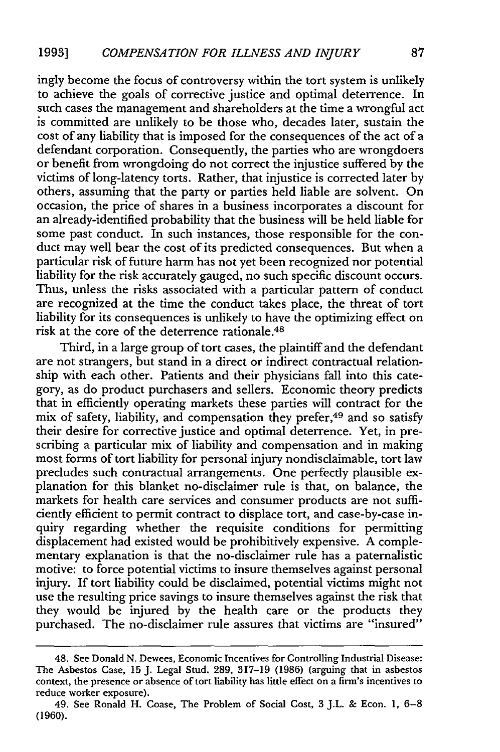ingly become the focus of controversy within the tort system is unlikely to achieve the goals of corrective justice and optimal deterrence. In such cases the management and shareholders at the time a wrongful act is committed are unlikely to be those who, decades later, sustain the cost of any liability that is imposed for the consequences of the act of a defendant corporation. Consequently, the parties who are wrongdoers or benefit from wrongdoing do not correct the injustice suffered by the victims of long-latency torts. Rather, that injustice is corrected later by others, assuming that the party or parties held liable are solvent. On occasion, the price of shares in a business incorporates a discount for an already-identified probability that the business will be held liable for some past conduct. In such instances, those responsible for the conduct may well bear the cost of its predicted consequences. But when a particular risk of future harm has not yet been recognized nor potential liability for the risk accurately gauged, no such specific discount occurs. Thus, unless the risks associated with a particular pattern of conduct are recognized at the time the conduct takes place, the threat of tort liability for its consequences is unlikely to have the optimizing effect on risk at the core of the deterrence rationale.<sup>48</sup>

Third, in a large group of tort cases, the plaintiff and the defendant are not strangers, but stand in a direct or indirect contractual relationship with each other. Patients and their physicians fall into this category, as do product purchasers and sellers. Economic theory predicts that in efficiently operating markets these parties will contract for the mix of safety, liability, and compensation they prefer, 49 and so satisfy their desire for corrective justice and optimal deterrence. Yet, in prescribing a particular mix of liability and compensation and in making most forms of tort liability for personal injury nondisclaimable, tort law precludes such contractual arrangements. One perfectly plausible explanation for this blanket no-disclaimer rule is that, on balance, the markets for health care services and consumer products are not sufficiently efficient to permit contract to displace tort, and case-by-case inquiry regarding whether the requisite conditions for permitting displacement had existed would be prohibitively expensive. A complementary explanation is that the no-disclaimer rule has a paternalistic motive: to force potential victims to insure themselves against personal injury. If tort liability could be disclaimed, potential victims might not use the resulting price savings to insure themselves against the risk that they would be injured by the health care or the products they purchased. The no-disclaimer rule assures that victims are "insured"

<sup>48.</sup> See Donald N. Dewees, Economic Incentives for Controlling Industrial Disease: The Asbestos Case, 15 J. Legal Stud. 289, 317-19 (1986) (arguing that in asbestos context, the presence or absence of tort liability has little effect on a firm's incentives to reduce worker exposure).

<sup>49.</sup> See Ronald H. Coase, The Problem of Social Cost, 3 J.L. & Econ. 1, 6-8 **(1960).**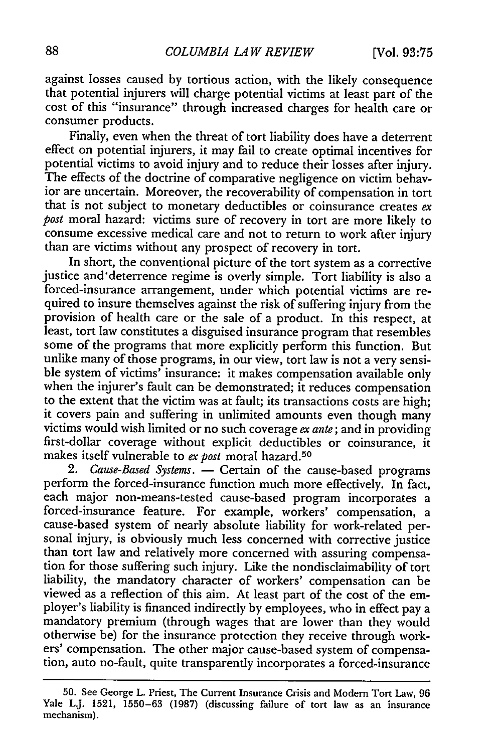against losses caused by tortious action, with the likely consequence that potential injurers will charge potential victims at least part of the cost of this "insurance" through increased charges for health care or consumer products.

Finally, even when the threat of tort liability does have a deterrent effect on potential injurers, it may fail to create optimal incentives for potential victims to avoid injury and to reduce their losses after injury. The effects of the doctrine of comparative negligence on victim behavior are uncertain. Moreover, the recoverability of compensation in tort that is not subject to monetary deductibles or coinsurance creates *ex post* moral hazard: victims sure of recovery in tort are more likely to consume excessive medical care and not to return to work after injury than are victims without any prospect of recovery in tort.

In short, the conventional picture of the tort system as a corrective justice and'deterrence regime is overly simple. Tort liability is also a forced-insurance arrangement, under which potential victims are required to insure themselves against the risk of suffering injury from the provision of health care or the sale of a product. In this respect, at least, tort law constitutes a disguised insurance program that resembles some of the programs that more explicitly perform this function. But unlike many of those programs, in our view, tort law is not a very sensible system of victims' insurance: it makes compensation available only when the injurer's fault can be demonstrated; it reduces compensation to the extent that the victim was at fault; its transactions costs are high; it covers pain and suffering in unlimited amounts even though many victims would wish limited or no such coverage *ex ante;* and in providing first-dollar coverage without explicit deductibles or coinsurance, it makes itself vulnerable to *ex post* moral hazard.50

*2. Cause-Based Systems.* **-** Certain of the cause-based programs perform the forced-insurance function much more effectively. In fact, each major non-means-tested cause-based program incorporates a forced-insurance feature. For example, workers' compensation, a cause-based system of nearly absolute liability for work-related personal injury, is obviously much less concerned with corrective justice than tort law and relatively more concerned with assuring compensation for those suffering such injury. Like the nondisclaimability of tort liability, the mandatory character of workers' compensation can be viewed as a reflection of this aim. At least part of the cost of the employer's liability is financed indirectly by employees, who in effect pay a mandatory premium (through wages that are lower than they would otherwise be) for the insurance protection they receive through workers' compensation. The other major cause-based system of compensation, auto no-fault, quite transparently incorporates a forced-insurance

**<sup>50.</sup>** See George L. Priest, The Current Insurance Crisis and Modern Tort Law, 96 Yale LJ. 1521, 1550-63 (1987) (discussing failure of tort law as an insurance mechanism).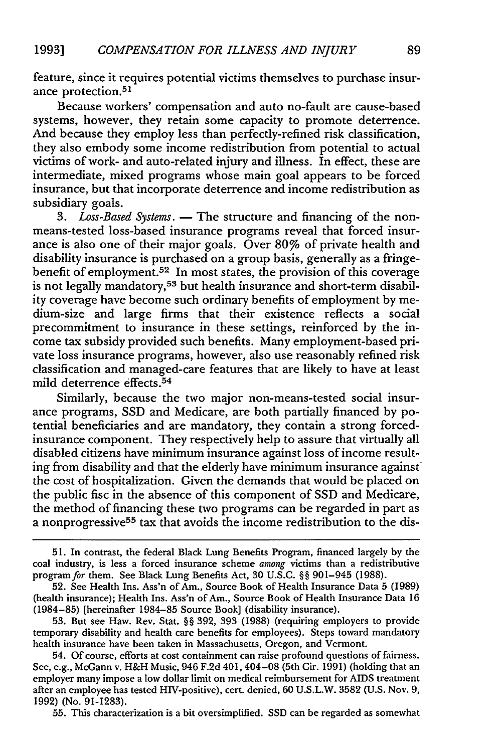feature, since it requires potential victims themselves to purchase insurance protection.<sup>51</sup>

Because workers' compensation and auto no-fault are cause-based systems, however, they retain some capacity to promote deterrence. And because they employ less than perfectly-refined risk classification, they also embody some income redistribution from potential to actual victims of work- and auto-related injury and illness. In effect, these are intermediate, mixed programs whose main goal appears to be forced insurance, but that incorporate deterrence and income redistribution as subsidiary goals.

*3. Loss-Based Systems.* **-** The structure and financing of the nonmeans-tested loss-based insurance programs reveal that forced insurance is also one of their major goals. Over 80% of private health and disability insurance is purchased on a group basis, generally as a fringebenefit of employment.<sup>52</sup> In most states, the provision of this coverage is not legally mandatory,<sup>53</sup> but health insurance and short-term disability coverage have become such ordinary benefits of employment by medium-size and large firms that their existence reflects a social precommitment to insurance in these settings, reinforced by the income tax subsidy provided such benefits. Many employment-based private loss insurance programs, however, also use reasonably refined risk classification and managed-care features that are likely to have at least mild deterrence effects.<sup>54</sup>

Similarly, because the two major non-means-tested social insurance programs, SSD and Medicare, are both partially financed by potential beneficiaries and are mandatory, they contain a strong forcedinsurance component. They respectively help to assure that virtually all disabled citizens have minimum insurance against loss of income resulting from disability and that the elderly have minimum insurance against the cost of hospitalization. Given the demands that would be placed on the public fisc in the absence of this component of SSD and Medicare, the method of financing these two programs can be regarded in part as a nonprogressive<sup>55</sup> tax that avoids the income redistribution to the dis-

55. This characterization is a bit oversimplified. SSD can be regarded as somewhat

<sup>51.</sup> In contrast, the federal Black Lung Benefits Program, financed largely by the coal industry, is less a forced insurance scheme *among* victims than a redistributive program for them. See Black Lung Benefits Act, 30 U.S.C. §§ 901-945 (1988).

<sup>52.</sup> See Health Ins. Ass'n of Am., Source Book of Health Insurance Data 5 (1989) (health insurance); Health Ins. Ass'n of Am., Source Book of Health Insurance Data 16 (1984-85) [hereinafter 1984-85 Source Book] (disability insurance).

<sup>53.</sup> But see Haw. Rev. Stat. §§ 392, 393 (1988) (requiring employers to provide temporary disability and health care benefits for employees). Steps toward mandatory health insurance have been taken in Massachusetts, Oregon, and Vermont.

<sup>54.</sup> Of course, efforts at cost containment can raise profound questions of fairness. See, e.g., McGann v. H&H Music, 946 F.2d 401, 404–08 (5th Cir. 1991) (holding that an employer many impose a low dollar limit on medical reimbursement for AIDS treatment after an employee has tested HIV-positive), cert. denied, 60 U.S.L.W. 3582 (U.S. Nov. 9, 1992) (No. 91-1283).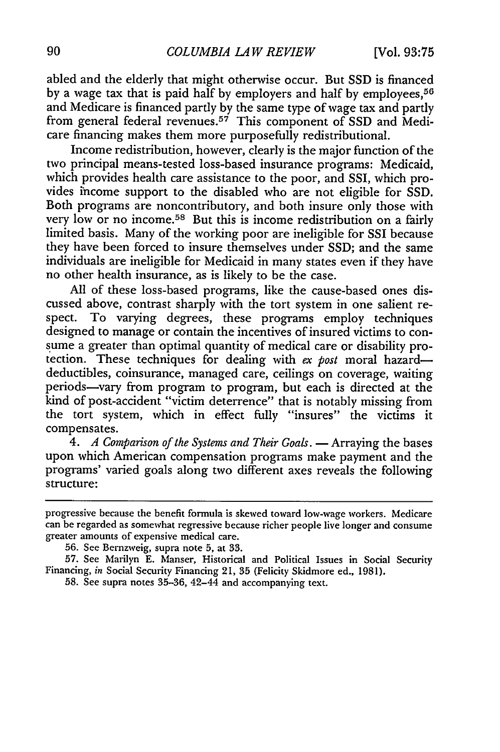abled and the elderly that might otherwise occur. But SSD is financed by a wage tax that is paid half by employers and half by employees,<sup>56</sup> and Medicare is financed partly by the same type of wage tax and partly from general federal revenues.<sup>57</sup> This component of SSD and Medicare financing makes them more purposefully redistributional.

Income redistribution, however, clearly is the major function of the two principal means-tested loss-based insurance programs: Medicaid, which provides health care assistance to the poor, and SSI, which provides income support to the disabled who are not eligible for SSD. Both programs are noncontributory, and both insure only those with very low or no income.<sup>58</sup> But this is income redistribution on a fairly limited basis. Many of the working poor are ineligible for SSI because they have been forced to insure themselves under SSD; and the same individuals are ineligible for Medicaid in many states even if they have no other health insurance, as is likely to be the case.

All of these loss-based programs, like the cause-based ones discussed above, contrast sharply with the tort system in one salient respect. To varying degrees, these programs employ techniques designed to manage or contain the incentives of insured victims to consume a greater than optimal quantity of medical care or disability protection. These techniques for dealing with *ex post* moral hazarddeductibles, coinsurance, managed care, ceilings on coverage, waiting periods-vary from program to program, but each is directed at the kind of post-accident "victim deterrence" that is notably missing from the tort system, which in effect fully "insures" the victims it compensates.

4. *A Comparison of the Systems and Their Goals.* — Arraying the bases upon which American compensation programs make payment and the programs' varied goals along two different axes reveals the following structure:

progressive because the benefit formula is skewed toward low-wage workers. Medicare can be regarded as somewhat regressive because richer people live longer and consume greater amounts of expensive medical care.

56. See Bernzweig, supra note 5, at 33.

57. See Marilyn E. Manser, Historical and Political Issues in Social Security Financing, in Social Security Financing 21, 35 (Felicity Skidmore ed., 1981).

58. See supra notes 35-36, 42-44 and accompanying text.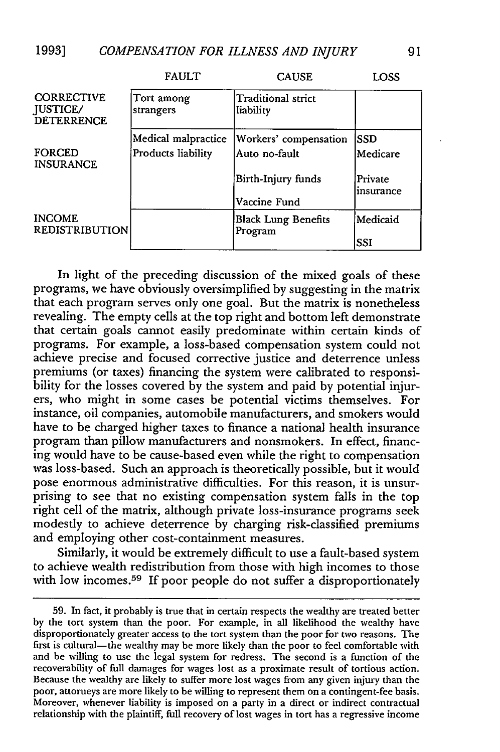|                                                           | <b>FAULT</b>            | <b>CAUSE</b>                          | LOSS                 |
|-----------------------------------------------------------|-------------------------|---------------------------------------|----------------------|
| <b>CORRECTIVE</b><br><b>JUSTICE/</b><br><b>DETERRENCE</b> | Tort among<br>strangers | Traditional strict<br>liability       |                      |
|                                                           | Medical malpractice     | Workers' compensation                 | SSD                  |
| <b>FORCED</b><br><b>INSURANCE</b>                         | Products liability      | Auto no-fault                         | Medicare             |
|                                                           |                         | Birth-Injury funds                    | Private<br>insurance |
|                                                           |                         | Vaccine Fund                          |                      |
| <b>INCOME</b><br><b>REDISTRIBUTION</b>                    |                         | <b>Black Lung Benefits</b><br>Program | Medicaid             |
|                                                           |                         |                                       | SSI                  |

In light of the preceding discussion of the mixed goals of these programs, we have obviously oversimplified by suggesting in the matrix that each program serves only one goal. But the matrix is nonetheless revealing. The empty cells at the top right and bottom left demonstrate that certain goals cannot easily predominate within certain kinds of programs. For example, a loss-based compensation system could not achieve precise and focused corrective justice and deterrence unless premiums (or taxes) financing the system were calibrated to responsibility for the losses covered by the system and paid by potential injurers, who might in some cases be potential victims themselves. For instance, oil companies, automobile manufacturers, and smokers would have to be charged higher taxes to finance a national health insurance program than pillow manufacturers and nonsmokers. In effect, financing would have to be cause-based even while the right to compensation was loss-based. Such an approach is theoretically possible, but it would pose enormous administrative difficulties. For this reason, it is unsurprising to see that no existing compensation system falls in the top right cell of the matrix, although private loss-insurance programs seek modestly to achieve deterrence by charging risk-classified premiums and employing other cost-containment measures.

Similarly, it would be extremely difficult to use a fault-based system to achieve wealth redistribution from those with high incomes to those with low incomes.<sup>59</sup> If poor people do not suffer a disproportionately

<sup>59.</sup> In fact, it probably is true that in certain respects the wealthy are treated better by the tort system than the poor. For example, in all likelihood the wealthy have disproportionately greater access to the tort system than the poor for two reasons. The first is cultural—the wealthy may be more likely than the poor to feel comfortable with and be willing to use the legal system for redress. The second is a function of the recoverability of full damages for wages lost as a proximate result of tortious action. Because the wealthy are likely to suffer more lost wages from any given injury than the poor, attorueys are more likely to be willing to represent them on a contingent-fee basis. Moreover, whenever liability is imposed on a party in a direct or indirect contractual relationship with the plaintiff, full recovery of lost wages in tort has a regressive income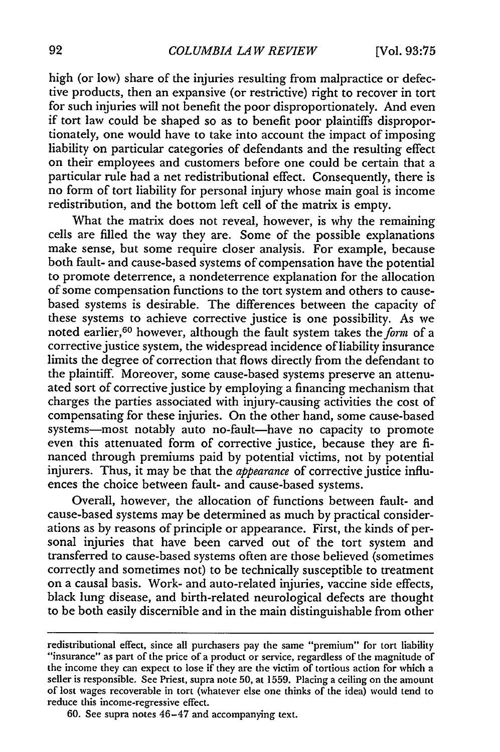high (or low) share of the injuries resulting from malpractice or defective products, then an expansive (or restrictive) right to recover in tort for such injuries will not benefit the poor disproportionately. And even if tort law could be shaped so as to benefit poor plaintiffs disproportionately, one would have to take into account the impact of imposing liability on particular categories of defendants and the resulting effect on their employees and customers before one could be certain that a particular rule had a net redistributional effect. Consequently, there is no form of tort liability for personal injury whose main goal is income redistribution, and the bottom left cell of the matrix is empty.

What the matrix does not reveal, however, is why the remaining cells are filled the way they are. Some of the possible explanations make sense, but some require closer analysis. For example, because both fault- and cause-based systems of compensation have the potential to promote deterrence, a nondeterrence explanation for the allocation of some compensation functions to the tort system and others to causebased systems is desirable. The differences between the capacity of these systems to achieve corrective justice is one possibility. As we noted earlier,<sup>60</sup> however, although the fault system takes the form of a corrective justice system, the widespread incidence of liability insurance limits the degree of correction that flows directly from the defendant to the plaintiff. Moreover, some cause-based systems preserve an attenuated sort of corrective justice by employing a financing mechanism that charges the parties associated with injury-causing activities the cost of compensating for these injuries. On the other hand, some cause-based systems-most notably auto no-fault-have no capacity to promote even this attenuated form of corrective justice, because they are financed through premiums paid by potential victims, not by potential injurers. Thus, it may be that the *appearance* of corrective justice influences the choice between fault- and cause-based systems.

Overall, however, the allocation of functions between fault- and cause-based systems may be determined as much by practical considerations as by reasons of principle or appearance. First, the kinds of personal injuries that have been carved out of the tort system and transferred to cause-based systems often are those believed (sometimes correctly and sometimes not) to be technically susceptible to treatment on a causal basis. Work- and auto-related injuries, vaccine side effects, black lung disease, and birth-related neurological defects are thought to be both easily discernible and in the main distinguishable from other

60. See supra notes 46-47 and accompanying text.

redistributional effect, since all purchasers pay the same "premium" for tort liability "insurance" as part of the price of a product or service, regardless of the magnitude of the income they can expect to lose if they are the victim of tortious action for which a seller is responsible. See Priest, supra note 50, at 1559. Placing a ceiling on the amount of lost wages recoverable in tort (whatever else one thinks of the idea) would tend to reduce this income-regressive effect.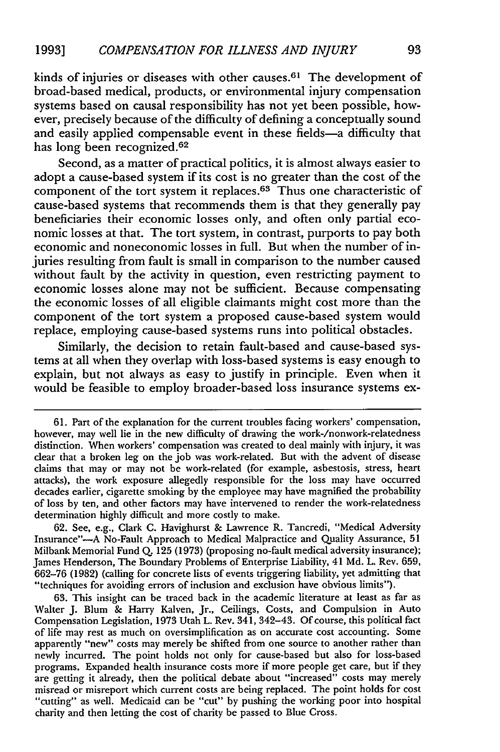kinds of injuries or diseases with other causes.<sup>61</sup> The development of broad-based medical, products, or environmental injury compensation systems based on causal responsibility has not yet been possible, however, precisely because of the difficulty of defining a conceptually sound and easily applied compensable event in these fields-a difficulty that has long been recognized.<sup>62</sup>

Second, as a matter of practical politics, it is almost always easier to adopt a cause-based system if its cost is no greater than the cost of the component of the tort system it replaces.<sup>63</sup> Thus one characteristic of cause-based systems that recommends them is that they generally pay beneficiaries their economic losses only, and often only partial economic losses at that. The tort system, in contrast, purports to pay both economic and noneconomic losses in full. But when the number of injuries resulting from fault is small in comparison to the number caused without fault by the activity in question, even restricting payment to economic losses alone may not be sufficient. Because compensating the economic losses of all eligible claimants might cost more than the component of the tort system a proposed cause-based system would replace, employing cause-based systems runs into political obstacles.

Similarly, the decision to retain fault-based and cause-based systems at all when they overlap with loss-based systems is easy enough to explain, but not always as easy to justify in principle. Even when it would be feasible to employ broader-based loss insurance systems ex-

<sup>61.</sup> Part of the explanation for the current troubles facing workers' compensation, however, may well lie in the new difficulty of drawing the work-/nonwork-relatedness distinction. When workers' compensation was created to deal mainly with injury, it was clear that a broken leg on the **job** was work-related. But with the advent of disease claims that may or may not be work-related (for example, asbestosis, stress, heart attacks), the work exposure allegedly responsible for the loss may have occurred decades earlier, cigarette smoking by the employee may have magnified the probability of loss by ten, and other factors may have intervened to render the work-relatedness determination highly difficult and more costly to make.

<sup>62.</sup> See, e.g., Clark **C.** Havighurst & Lawrence R. Tancredi, "Medical Adversity Insurance"-A No-Fault Approach to Medical Malpractice and Quality Assurance, 51 Milbank Memorial Fund **Q.** 125 (1973) (proposing no-fault medical adversity insurance); James Henderson, The Boundary Problems of Enterprise Liability, 41 **Md.** L. Rev. 659, 662-76 (1982) (calling for concrete lists of events triggering liability, yet admitting that "techniques for avoiding errors of inclusion and exclusion have obvious limits").

<sup>63.</sup> This insight can be traced back in the academic literature at least as far as Walter J. Blum & Harry Kalven, Jr., Ceilings, Costs, and Compulsion in Auto Compensation Legislation, 1973 Utah L. Rev. 341, 342-43. Of course, this political fact of life may rest as much on oversimplification as on accurate cost accounting. Some apparently "new" costs may merely be shifted from one source to another rather than newly incurred. The point holds not only for cause-based but also for loss-based programs. Expanded health insurance costs more if more people get care, but if they are getting it already, then the political debate about "increased" costs may merely misread or misreport which current costs are being replaced. The point holds for cost "cutting" as well. Medicaid can be "cut" by pushing the working poor into hospital charity and then letting the cost of charity be passed to Blue Cross.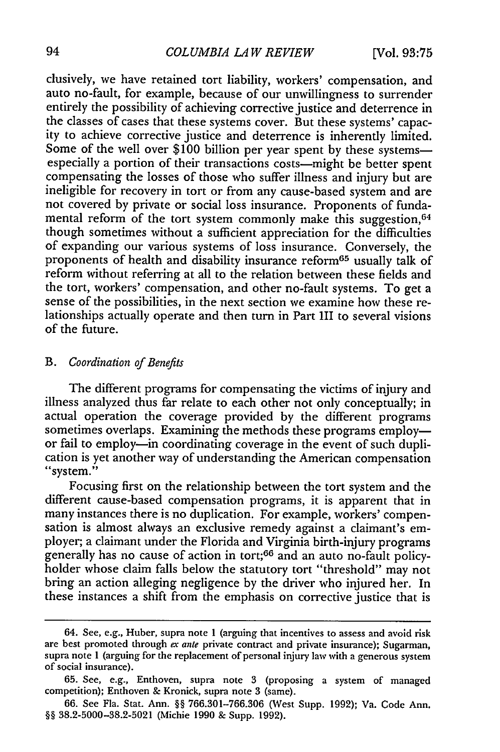### *COLUMBIA LA W REVIEW*

clusively, we have retained tort liability, workers' compensation, and auto no-fault, for example, because of our unwillingness to surrender entirely the possibility of achieving corrective justice and deterrence in the classes of cases that these systems cover. But these systems' capacity to achieve corrective justice and deterrence is inherently limited. Some of the well over \$100 billion per year spent by these systemsespecially a portion of their transactions costs-might be better spent compensating the losses of those who suffer illness and injury but are ineligible for recovery in tort or from any cause-based system and are not covered by private or social loss insurance. Proponents of fundamental reform of the tort system commonly make this suggestion, 64 though sometimes without a sufficient appreciation for the difficulties of expanding our various systems of loss insurance. Conversely, the proponents of health and disability insurance reform65 usually talk of reform without referring at all to the relation between these fields and the tort, workers' compensation, and other no-fault systems. To get a sense of the possibilities, in the next section we examine how these relationships actually operate and then turn in Part III to several visions of the future.

# *B. Coordination of Benefits*

The different programs for compensating the victims of injury and illness analyzed thus far relate to each other not only conceptually; in actual operation the coverage provided by the different programs sometimes overlaps. Examining the methods these programs employor fail to employ-in coordinating coverage in the event of such duplication is yet another way of understanding the American compensation "system."

Focusing first on the relationship between the tort system and the different cause-based compensation programs, it is apparent that in many instances there is no duplication. For example, workers' compensation is almost always an exclusive remedy against a claimant's employer; a claimant under the Florida and Virginia birth-injury programs generally has no cause of action in tort;<sup>66</sup> and an auto no-fault policyholder whose claim falls below the statutory tort "threshold" may not bring an action alleging negligence by the driver who injured her. In these instances a shift from the emphasis on corrective justice that is

<sup>64.</sup> See, e.g., Huber, supra note 1 (arguing that incentives to assess and avoid risk are best promoted through *ex* ante private contract and private insurance); Sugarman, supra note I (arguing for the replacement of personal injury law with a generous system of social insurance).

<sup>65.</sup> See, e.g., Enthoven, supra note 3 (proposing a system of managed competition); Enthoven & Kronick, supra note **3** (same).

<sup>66.</sup> See Fla. Stat. Ann. §§ 766.301-766.306 (West Supp. 1992); Va. Code Ann. §§ 38.2-5000-38.2-5021 (Michie 1990 & Supp. **1992).**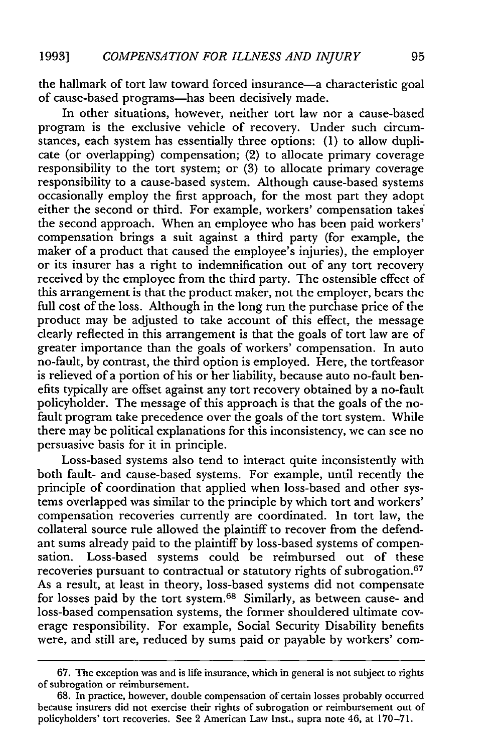the hallmark of tort law toward forced insurance-a characteristic goal of cause-based programs-has been decisively made.

In other situations, however, neither tort law nor a cause-based program is the exclusive vehicle of recovery. Under such circumstances, each system has essentially three options: (1) to allow duplicate (or overlapping) compensation; (2) to allocate primary coverage responsibility to the tort system; or (3) to allocate primary coverage responsibility to a cause-based system. Although cause-based systems occasionally employ the first approach, for the most part they adopt either the second or third. For example, workers' compensation takes' the second approach. When an employee who has been paid workers' compensation brings a suit against a third party (for example, the maker of a product that caused the employee's injuries), the employer or its insurer has a right to indemnification out of any tort recovery received by the employee from the third party. The ostensible effect of this arrangement is that the product maker, not the employer, bears the full cost of the loss. Although in the long run the purchase price of the product may be adjusted to take account of this effect, the message clearly reflected in this arrangement is that the goals of tort law are of greater importance than the goals of workers' compensation. In auto no-fault, by contrast, the third option is employed. Here, the tortfeasor is relieved of a portion of his or her liability, because auto no-fault benefits typically are offset against any tort recovery obtained by a no-fault policyholder. The message of this approach is that the goals of the nofault program take precedence over the goals of the tort system. While there may be political explanations for this inconsistency, we can see no persuasive basis for it in principle.

Loss-based systems also tend to interact quite inconsistently with both fault- and cause-based systems. For example, until recently the principle of coordination that applied when loss-based and other systems overlapped was similar to the principle by which tort and workers' compensation recoveries currently are coordinated. In tort law, the collateral source rule allowed the plaintiff to recover from the defendant sums already paid to the plaintiff by loss-based systems of compensation. Loss-based systems could be reimbursed out of these recoveries pursuant to contractual or statutory rights of subrogation. <sup>67</sup> As a result, at least in theory, loss-based systems did not compensate for losses paid by the tort system.68 Similarly, as between cause- and loss-based compensation systems, the former shouldered ultimate coverage responsibility. For example, Social Security Disability benefits were, and still are, reduced by sums paid or payable by workers' com-

<sup>67.</sup> The exception was and is life insurance, which in general is not subject to rights of subrogation or reimbursement.

<sup>68.</sup> In practice, however, double compensation of certain losses probably occurred because insurers did not exercise their rights of subrogation or reimbursement out of policyholders' tort recoveries. See 2 American Law Inst., supra note 46, at 170-71.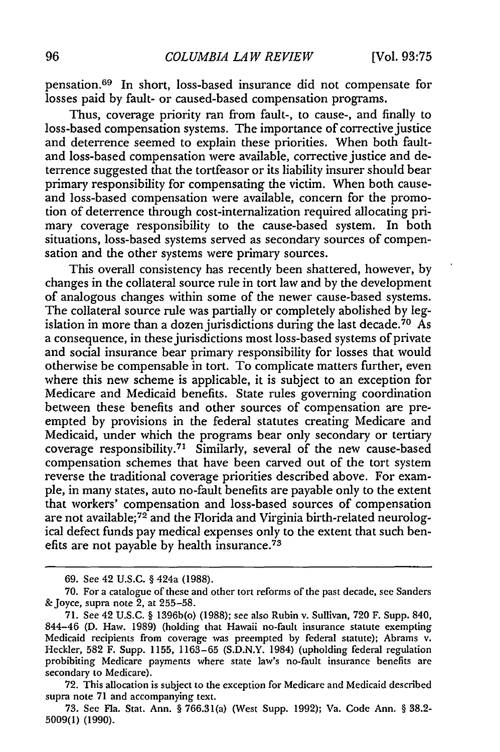pensation. 69 In short, loss-based insurance did not compensate for losses paid by fault- or caused-based compensation programs.

Thus, coverage priority ran from fault-, to cause-, and finally to loss-based compensation systems. The importance of corrective justice and deterrence seemed to explain these priorities. When both faultand loss-based compensation were available, corrective justice and deterrence suggested that the tortfeasor or its liability insurer should bear primary responsibility for compensating the victim. When both causeand loss-based compensation were available, concern for the promotion of deterrence through cost-internalization required allocating primary coverage responsibility to the cause-based system. In both situations, loss-based systems served as secondary sources of compensation and the other systems were primary sources.

This overall consistency has recently been shattered, however, by changes in the collateral source rule in tort law and by the development of analogous changes within some of the newer cause-based systems. The collateral source rule was partially or completely abolished by legislation in more than a dozen jurisdictions during the last decade.<sup>70</sup> As a consequence, in these jurisdictions most loss-based systems of private and social insurance bear primary responsibility for losses that would otherwise be compensable in tort. To complicate matters further, even where this new scheme is applicable, it is subject to an exception for Medicare and Medicaid benefits. State rules governing coordination between these benefits and other sources of compensation are preempted by provisions in the federal statutes creating Medicare and Medicaid, under which the programs bear only secondary or tertiary coverage responsibility. 71 Similarly, several of the new cause-based compensation schemes that have been carved out of the tort system reverse the traditional coverage priorities described above. For example, in many states, auto no-fault benefits are payable only to the extent that workers' compensation and loss-based sources of compensation are not available;<sup>72</sup> and the Florida and Virginia birth-related neurological defect funds pay medical expenses only to the extent that such benefits are not payable by health insurance.<sup> $73$ </sup>

<sup>69.</sup> See 42 U.S.C. § 424a (1988).

<sup>70.</sup> For a catalogue of these and other tort reforms of the past decade, see Sanders &Joyce, supra note 2, at 255-58.

<sup>71.</sup> See 42 U.S.C. § 1396b(o) (1988); see also Rubin v. Sullivan, 720 F. Supp. 840, 844-46 (D. Haw. 1989) (holding that Hawaii no-fault insurance statute exempting Medicaid recipients from coverage was preempted by federal statute); Abrams v. Heckler, 582 F. Supp. **1155,** 1163-65 (S.D.N.Y. 1984) (upholding federal regulation prohibiting Medicare payments where state law's no-fault insurance benefits are secondary to Medicare).

<sup>72.</sup> This allocation is subject to the exception for Medicare and Medicaid described supra note 71 and accompanying text.

<sup>73.</sup> See Fla. Stat. Ann. § 766.31(a) (West Supp. 1992); Va. Code Ann. § 38.2- 5009(1) (1990).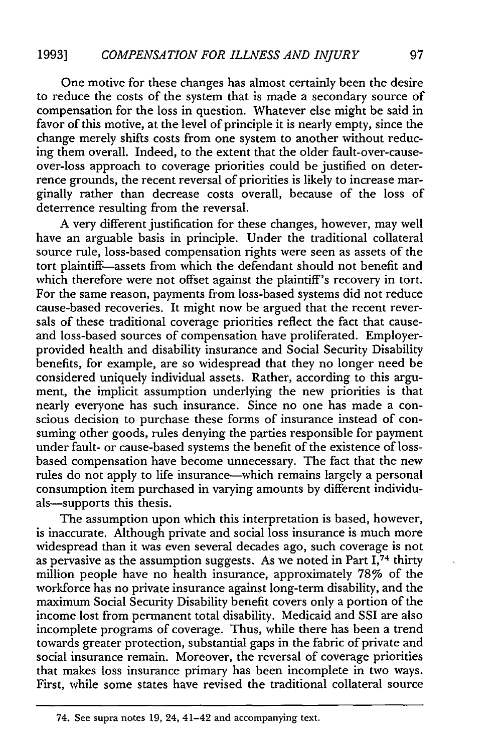One motive for these changes has almost certainly been the desire to reduce the costs of the system that is made a secondary source of compensation for the loss in question. Whatever else might be said in favor of this motive, at the level of principle it is nearly empty, since the change merely shifts costs from one system to another without reducing them overall. Indeed, to the extent that the older fault-over-causeover-loss approach to coverage priorities could be justified on deterrence grounds, the recent reversal of priorities is likely to increase marginally rather than decrease costs overall, because of the loss of deterrence resulting from the reversal.

A very different justification for these changes, however, may well have an arguable basis in principle. Under the traditional collateral source rule, loss-based compensation rights were seen as assets of the tort plaintiff-assets from which the defendant should not benefit and which therefore were not offset against the plaintiff's recovery in tort. For the same reason, payments from loss-based systems did not reduce cause-based recoveries. It might now be argued that the recent reversals of these traditional coverage priorities reflect the fact that causeand loss-based sources of compensation have proliferated. Employerprovided health and disability insurance and Social Security Disability benefits, for example, are so widespread that they no longer need be considered uniquely individual assets. Rather, according to this argument, the implicit assumption underlying the new priorities is that nearly everyone has such insurance. Since no one has made a conscious decision to purchase these forms of insurance instead of consuming other goods, rules denying the parties responsible for payment under fault- or cause-based systems the benefit of the existence of lossbased compensation have become unnecessary. The fact that the new rules do not apply to life insurance—which remains largely a personal consumption item purchased in varying amounts by different individuals-supports this thesis.

The assumption upon which this interpretation is based, however, is inaccurate. Although private and social loss insurance is much more widespread than it was even several decades ago, such coverage is not as pervasive as the assumption suggests. As we noted in Part  $I$ ,  $74$  thirty million people have no health insurance, approximately 78% of the workforce has no private insurance against long-term disability, and the maximum Social Security Disability benefit covers only a portion of the income lost from permanent total disability. Medicaid and SSI are also incomplete programs of coverage. Thus, while there has been a trend towards greater protection, substantial gaps in the fabric of private and social insurance remain. Moreover, the reversal of coverage priorities that makes loss insurance primary has been incomplete in two ways. First, while some states have revised the traditional collateral source

<sup>97</sup>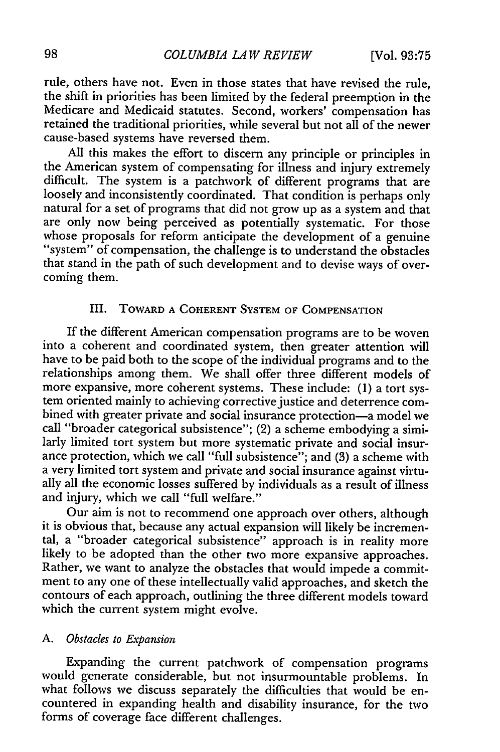rule, others have not. Even in those states that have revised the rule, the shift in priorities has been limited by the federal preemption in the Medicare and Medicaid statutes. Second, workers' compensation has retained the traditional priorities, while several but not all of the newer cause-based systems have reversed them.

All this makes the effort to discern any principle or principles in the American system of compensating for illness and injury extremely difficult. The system is a patchwork of different programs that are loosely and inconsistently coordinated. That condition is perhaps only natural for a set of programs that did not grow up as a system and that are only now being perceived as potentially systematic. For those whose proposals for reform anticipate the development of a genuine "system" of compensation, the challenge is to understand the obstacles that stand in the path of such development and to devise ways of overcoming them.

# III. TOWARD **A COHERENT** SYSTEM OF **COMPENSATION**

If the different American compensation programs are to be woven into a coherent and coordinated system, then greater attention will have to be paid both to the scope of the individual programs and to the relationships among them. We shall offer three different models of more expansive, more coherent systems. These include: (1) a tort system oriented mainly to achieving corrective justice and deterrence combined with greater private and social insurance protection-a model we call "broader categorical subsistence"; (2) a scheme embodying a similarly limited tort system but more systematic private and social insurance protection, which we call "full subsistence"; and (3) a scheme with a very limited tort system and private and social insurance against virtually all the economic losses suffered by individuals as a result of illness and injury, which we call "full welfare."

Our aim is not to recommend one approach over others, although it is obvious that, because any actual expansion will likely be incremental, a "broader categorical subsistence" approach is in reality more likely to be adopted than the other two more expansive approaches. Rather, we want to analyze the obstacles that would impede a commitment to any one of these intellectually valid approaches, and sketch the contours of each approach, outlining the three different models toward which the current system might evolve.

# *A. Obstacles to Expansion*

Expanding the current patchwork of compensation programs would generate considerable, but not insurmountable problems. In what follows we discuss separately the difficulties that would be encountered in expanding health and disability insurance, for the two forms of coverage face different challenges.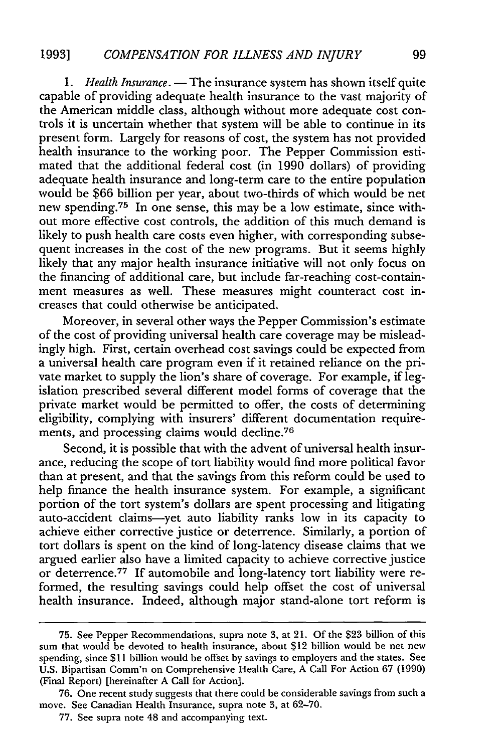1. *Health Insurance*. — The insurance system has shown itself quite capable of providing adequate health insurance to the vast majority of the American middle class, although without more adequate cost controls it is uncertain whether that system will be able to continue in its present form. Largely for reasons of cost, the system has not provided health insurance to the working poor. The Pepper Commission estimated that the additional federal cost (in 1990 dollars) of providing adequate health insurance and long-term care to the entire population would be \$66 billion per year, about two-thirds of which would be net new spending. 75 In one sense, this may be a low estimate, since without more effective cost controls, the addition of this much demand is likely to push health care costs even higher, with corresponding subsequent increases in the cost of the new programs. But it seems highly likely that any major health insurance initiative will not only focus on the financing of additional care, but include far-reaching cost-containment measures as well. These measures might counteract cost increases that could otherwise be anticipated.

Moreover, in several other ways the Pepper Commission's estimate of the cost of providing universal health care coverage may be misleadingly high. First, certain overhead cost savings could be expected from a universal health care program even if it retained reliance on the private market to supply the lion's share of coverage. For example, if legislation prescribed several different model forms of coverage that the private market would be permitted to offer, the costs of determining eligibility, complying with insurers' different documentation requirements, and processing claims would decline. <sup>76</sup>

Second, it is possible that with the advent of universal health insurance, reducing the scope of tort liability would find more political favor than at present, and that the savings from this reform could be used to help finance the health insurance system. For example, a significant portion of the tort system's dollars are spent processing and litigating auto-accident claims-yet auto liability ranks low in its capacity to achieve either corrective justice or deterrence. Similarly, a portion of tort dollars is spent on the kind of long-latency disease claims that we argued earlier also have a limited capacity to achieve corrective justice or deterrence.<sup>77</sup> If automobile and long-latency tort liability were reformed, the resulting savings could help offset the cost of universal health insurance. Indeed, although major stand-alone tort reform is

<sup>75.</sup> See Pepper Recommendations, supra note 3, at 21. Of the \$23 billion of this sum that would be devoted to health insurance, about \$12 billion would be net new spending, since \$11 billion would be offset by savings to employers and the states. See U.S. Bipartisan Comm'n on Comprehensive Health Care, A Call For Action 67 (1990) (Final Report) [hereinafter A Call for Action].

<sup>76.</sup> One recent study suggests that there could be considerable savings from such a move. See Canadian Health Insurance, supra note **3,** at 62-70.

<sup>77.</sup> See supra note 48 and accompanying text.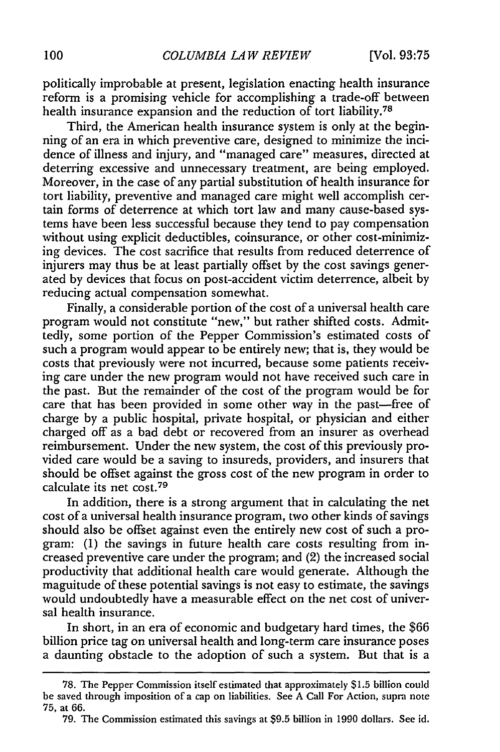politically improbable at present, legislation enacting health insurance reform is a promising vehicle for accomplishing a trade-off between health insurance expansion and the reduction of tort liability.<sup>78</sup>

Third, the American health insurance system is only at the beginning of an era in which preventive care, designed to minimize the incidence of illness and injury, and "managed care" measures, directed at deterring excessive and unnecessary treatment, are being employed. Moreover, in the case of any partial substitution of health insurance for tort liability, preventive and managed care might well accomplish certain forms of deterrence at which tort law and many cause-based systems have been less successful because they tend to pay compensation without using explicit deductibles, coinsurance, or other cost-minimizing devices. The cost sacrifice that results from reduced deterrence of injurers may thus be at least partially offset by the cost savings generated by devices that focus on post-accident victim deterrence, albeit by reducing actual compensation somewhat.

Finally, a considerable portion of the cost of a universal health care program would not constitute "new," but rather shifted costs. Admittedly, some portion of the Pepper Commission's estimated costs of such a program would appear to be entirely new; that is, they would be costs that previously were not incurred, because some patients receiving care under the new program would not have received such care in the past. But the remainder of the cost of the program would be for care that has been provided in some other way in the past-free of charge by a public hospital, private hospital, or physician and either charged off as a bad debt or recovered from an insurer as overhead reimbursement. Under the new system, the cost of this previously provided care would be a saving to insureds, providers, and insurers that should be offset against the gross cost of the new program in order to calculate its net cost. <sup>79</sup>

In addition, there is a strong argument that in calculating the net cost of a universal health insurance program, two other kinds of savings should also be offset against even the entirely new cost of such a program: (1) the savings in future health care costs resulting from increased preventive care under the program; and (2) the increased social productivity that additional health care would generate. Although the magnitude of these potential savings is not easy to estimate, the savings would undoubtedly have a measurable effect on the net cost of universal health insurance.

In short, in an era of economic and budgetary hard times, the \$66 billion price tag on universal health and long-term care insurance poses a daunting obstacle to the adoption of such a system. But that is a

<sup>78.</sup> The Pepper Commission itself estimated that approximately \$1.5 billion could be saved through imposition of a cap on liabilities. See A Call For Action, supra note **75,** at 66.

<sup>79.</sup> The Commission estimated this savings at \$9.5 billion in 1990 dollars. See id.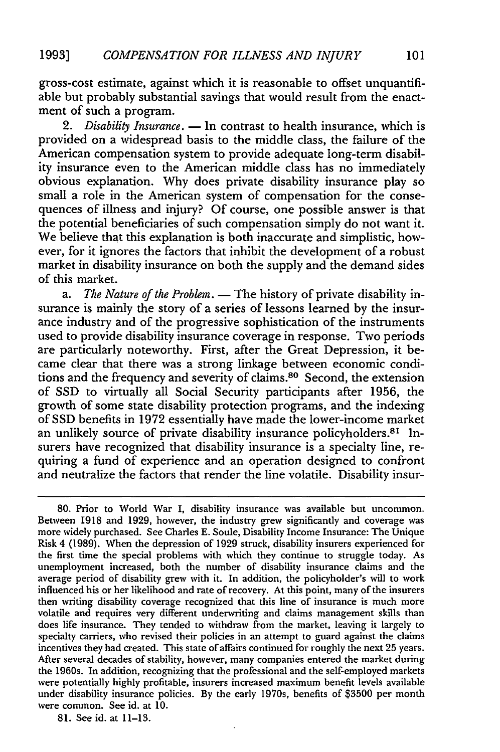gross-cost estimate, against which it is reasonable to offset unquantifiable but probably substantial savings that would result from the enactment of such a program.

2. *Disability Insurance.* — In contrast to health insurance, which is provided on a widespread basis to the middle class, the failure of the American compensation system to provide adequate long-term disability insurance even to the American middle class has no immediately obvious explanation. Why does private disability insurance play so small a role in the American system of compensation for the consequences of illness and injury? Of course, one possible answer is that the potential beneficiaries of such compensation simply do not want it. We believe that this explanation is both inaccurate and simplistic, however, for it ignores the factors that inhibit the development of a robust market in disability insurance on both the supply and the demand sides of this market.

a. The Nature of the Problem. - The history of private disability insurance is mainly the story of a series of lessons learned by the insurance industry and of the progressive sophistication of the instruments used to provide disability insurance coverage in response. Two periods are particularly noteworthy. First, after the Great Depression, it became clear that there was a strong linkage between economic conditions and the frequency and severity of claims.80 Second, the extension of SSD to virtually all Social Security participants after 1956, the growth of some state disability protection programs, and the indexing of SSD benefits in 1972 essentially have made the lower-income market an unlikely source of private disability insurance policyholders.<sup>81</sup> lnsurers have recognized that disability insurance is a specialty line, requiring a fund of experience and an operation designed to confront and neutralize the factors that render the line volatile. Disability insur-

81. See id. at 11-13.

<sup>80.</sup> Prior to World War I, disability insurance was available but uncommon. Between 1918 and 1929, however, the industry grew significantly and coverage was more widely purchased. See Charles E. Soule, Disability Income Insurance: The Unique Risk 4 (1989). When the depression of 1929 struck, disability insurers experienced for the first time the special problems with which they continue to struggle today. As unemployment increased, both the number of disability insurance claims and the average period of disability grew with it. In addition, the policyholder's will to work influenced his or her likelihood and rate of recovery. At this point, many of the insurers then writing disability coverage recognized that this line of insurance is much more volatile and requires very different underwriting and claims management skills than does life insurance. They tended to withdraw from the market, leaving it largely to specialty carriers, who revised their policies in an attempt to guard against the claims incentives they had created. This state of affairs continued for roughly the next 25 years. After several decades of stability, however, many companies entered the market during the 1960s. In addition, recognizing that the professional and the self-employed markets were potentially highly profitable, insurers increased maximum benefit levels available under disability insurance policies. By the early 1970s, benefits of \$3500 per month were common. See id. at 10.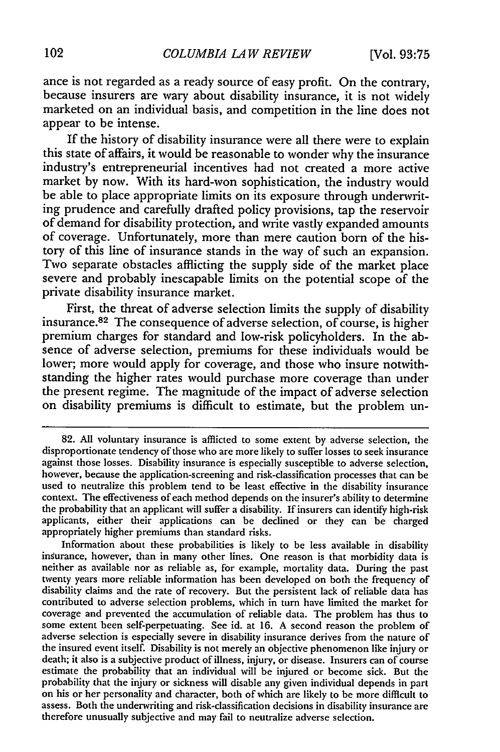ance is not regarded as a ready source of easy profit. On the contrary, because insurers are wary about disability insurance, it is not widely marketed on an individual basis, and competition in the line does not appear to be intense.

If the history of disability insurance were all there were to explain this state of affairs, it would be reasonable to wonder why the insurance industry's entrepreneurial incentives had not created a more active market by now. With its hard-won sophistication, the industry would be able to place appropriate limits on its exposure through underwriting prudence and carefully drafted policy provisions, tap the reservoir of demand for disability protection, and write vastly expanded amounts of coverage. Unfortunately, more than mere caution born of the history of this line of insurance stands in the way of such an expansion. Two separate obstacles afflicting the supply side of the market place severe and probably inescapable limits on the potential scope of the private disability insurance market.

First, the threat of adverse selection limits the supply of disability insurance.<sup>82</sup> The consequence of adverse selection, of course, is higher premium charges for standard and low-risk policyholders. In the absence of adverse selection, premiums for these individuals would be lower; more would apply for coverage, and those who insure notwithstanding the higher rates would purchase more coverage than under the present regime. The magnitude of the impact of adverse selection on disability premiums is difficult to estimate, but the problem un-

**<sup>82.</sup>** All voluntary insurance is afflicted to some extent by adverse selection, the disproportionate tendency of those who are more likely to suffer losses to seek insurance against those losses. Disability insurance is especially susceptible to adverse selection, however, because the application-screening and risk-classification processes that can be used to neutralize this problem tend to be least effective in the disability insurance context. The effectiveness of each method depends on the insurer's ability to determine the probability that an applicant will suffer a disability. If insurers can identify high-risk applicants, either their applications can be declined or they can be charged appropriately higher premiums than standard risks.

Information about these probabilities is likely to be less available in disability insurance, however, than in many other lines. One reason is that morbidity data is neither as available nor as reliable as, for example, mortality data. During the past twenty years more reliable information has been developed on both the frequency of disability claims and the rate of recovery. But the persistent lack of reliable data has contributed to adverse selection problems, which in turn have limited the market for coverage and prevented the accumulation of reliable data. The problem has thus to some extent been self-perpetuating. See id. at 16. A second reason the problem of adverse selection is especially severe in disability insurance derives from the nature of the insured event itself. Disability is not merely an objective phenomenon like injury or death; it also is a subjective product of illness, injury, or disease. Insurers can of course estimate the probability that an indiv probability that the injury or sickness will disable any given individual depends in part on his or her personality and character, both of which are likely to be more difficult to assess. Both the underwriting and risk-classification decisions in disability insurance are therefore unusually subjective and may f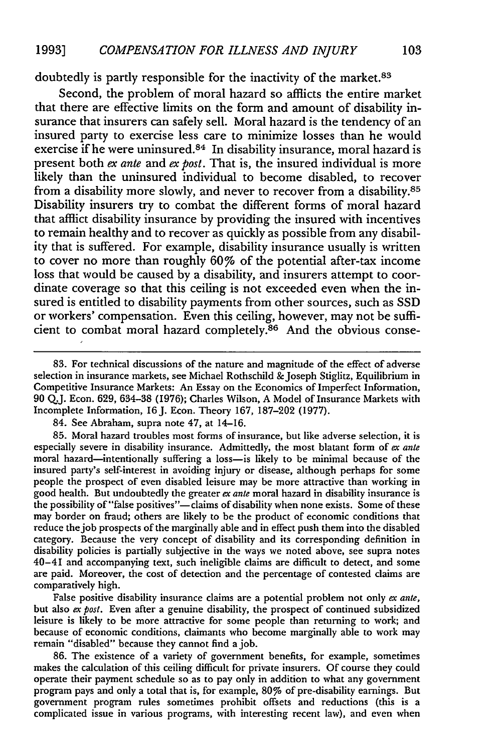doubtedly is partly responsible for the inactivity of the market.<sup>83</sup>

Second, the problem of moral hazard so afflicts the entire market that there are effective limits on the form and amount of disability insurance that insurers can safely sell. Moral hazard is the tendency of an insured party to exercise less care to minimize losses than he would exercise if he were uninsured.<sup>84</sup> In disability insurance, moral hazard is present both *ex ante* and *ex post.* That is, the insured individual is more likely than the uninsured individual to become disabled, to recover from a disability more slowly, and never to recover from a disability. <sup>85</sup> Disability insurers try to combat the different forms of moral hazard that afflict disability insurance by providing the insured with incentives to remain healthy and to recover as quickly as possible from any disability that is suffered. For example, disability insurance usually is written to cover no more than roughly 60% of the potential after-tax income loss that would be caused by a disability, and insurers attempt to coordinate coverage so that this ceiling is not exceeded even when the insured is entitled to disability payments from other sources, such as SSD or workers' compensation. Even this ceiling, however, may not be sufficient to combat moral hazard completely.<sup>86</sup> And the obvious conse-

**83.** For technical discussions of the nature and magnitude of the effect of adverse selection in insurance markets, see Michael Rothschild & Joseph Stiglitz, Equilibrium in Competitive Insurance Markets: An Essay on the Economics of Imperfect Information, 90 **QJ.** Econ. 629, 634-38 (1976); Charles Wilson, A Model of Insurance Markets with Incomplete Information, 16J. Econ. Theory 167, 187-202 (1977).

84. See Abraham, supra note 47, at 14-16.

**85.** Moral hazard troubles most forms of insurance, but like adverse selection, it is especially severe in disability insurance. Admittedly, the most blatant form of *ex ante* moral hazard-intentionally suffering a loss-is likely to be minimal because of the insured party's self-interest in avoiding injury or disease, although perhaps for some people the prospect of even disabled leisure may be more attractive than working in good health. But undoubtedly the greater *ex ante* moral hazard in disability insurance is the possibility of "false positives"-claims of disability when none exists. Some of these may border on fraud; others are likely to be the product of economic conditions that reduce the job prospects of the marginally able and in effect push them into the disabled category. Because the very concept of disability and its corresponding definition in disability policies is partially subjective in the ways we noted above, see supra notes 40-41 and accompanying text, such ineligible claims are difficult to detect, and some are paid. Moreover, the cost of detection and the percentage of contested claims are comparatively high.

False positive disability insurance claims are a potential problem not only *ex ante,* but also *ex post*. Even after a genuine disability, the prospect of continued subsidized leisure is likely to be more attractive for some people than returning to work; and because of economic conditions, claimants who become marginally able to work may remain "disabled" because they cannot find a job.

86. The existence of a variety of government benefits, for example, sometimes makes the calculation of this ceiling difficult for private insurers. Of course they could operate their payment schedule so as to pay only in addition to what any government program pays and only a total that is, for example, 80% of pre-disability earnings. But government program rules sometimes prohibit offsets and reductions (this is a complicated issue in various programs, with interesting recent law), and even when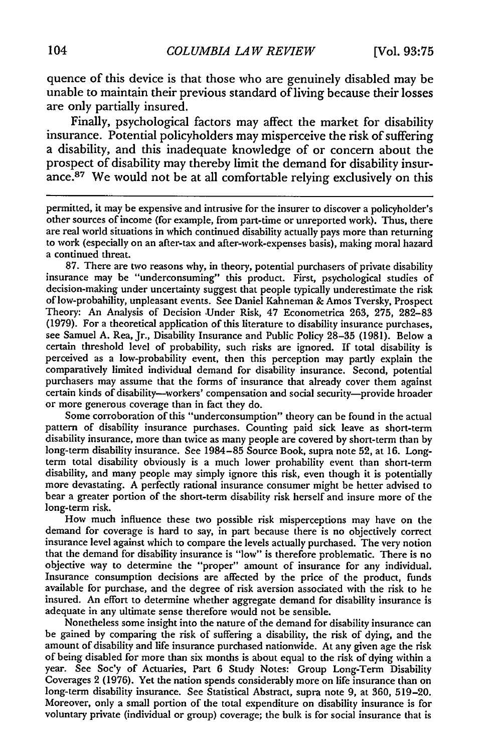quence of this device is that those who are genuinely disabled may be unable to maintain their previous standard of living because their losses are only partially insured.

Finally, psychological factors may affect the market for disability insurance. Potential policyholders may misperceive the risk of suffering a disability, and this inadequate knowledge of or concern about the prospect of disability may thereby limit the demand for disability insurance.<sup>87</sup> We would not be at all comfortable relying exclusively on this

permitted, it may be expensive and intrusive for the insurer to discover a policyholder's other sources of income (for example, from part-time or unreported work). Thus, there are real world situations in which continued disability actually pays more than returning to work (especially on an after-tax and after-work-expenses basis), making moral hazard a continued threat.

87. There are two reasons why, in theory, potential purchasers of private disability insurance may be "underconsuming" this product. First, psychological studies of decision-making under uncertainty suggest that people typically underestimate the risk of low-probability, unpleasant events. See Daniel Kahneman & Amos Tversky, Prospect Theory: An Analysis of Decision Under Risk, 47 Econometrica 263, 275, 282-83 (1979). For a theoretical application of this literature to disability insurance purchases, see Samuel A. Rea, Jr., Disability Insurance and Public Policy 28–35 (1981). Below a certain threshold level of probability, such perceived as a low-probability event, then this perception may partly explain the comparatively limited individual demand for disability insurance. Second, potential purchasers may assume that the forms of insurance that already cover them against certain kinds of disability-workers' compensation and social security-provide broader or more generous coverage than in fact they do.

Some corroboration of this "underconsumption" theory can be found in the actual pattern of disability insurance purchases. Counting paid sick leave as short-term disability insurance, more than twice as many people are covered by short-term than by long-term disability insurance. See 1984-85 Source Book, supra note **52,** at 16. Longterm total disability obviously is a much lower probability event than short-term disability, and many people may simply ignore this risk, even though it is potentially more devastating. A perfectly rational insurance consumer might be better advised to bear a greater portion of the short-term disability risk herself and insure more of the long-term risk.

How much influence these two possible risk misperceptions may have on the demand for coverage is hard to say, in part because there is no objectively correct insurance level against which to compare the levels actually purchased. The very notion that the demand for disability insurance is "low" is therefore problematic. There is no objective way to determine the "proper" amount of insurance for any individual. Insurance consumption decisions are affected by the price of the product, funds available for purchase, and the degree of risk aversion associated with the risk to be insured. An effort to determine whether aggregate demand for disability insurance is adequate in any ultimate sense therefore would not be sensible.

Nonetheless some insight into the nature of the demand for disability insurance can be gained by comparing the risk of suffering a disability, the risk of dying, and the amount of disability and life insurance purchased nationwide. At any given age the risk of being disabled for more than six months is about equal to the risk of dying within a year. See Soc'y of Actuaries, Part 6 Study Notes: Group Long-Term Disability Coverages 2 (1976). Yet the nation spends considerably more on life insurance than on long-term disability insurance. See Statistical Abstract, supra note 9, at 360, 519–20. Moreover, only a small portion of the total expenditure on disability insurance is for voluntary private (individual or group) coverage; the bulk is for social insurance that is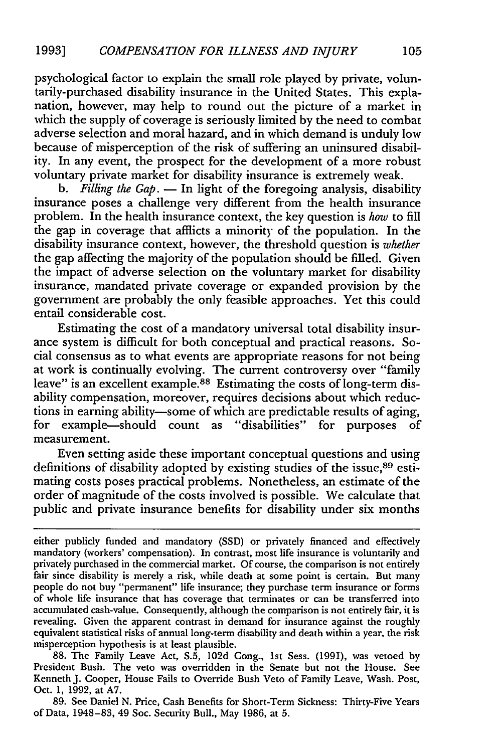psychological factor to explain the small role played by private, voluntarily-purchased disability insurance in the United States. This explanation, however, may help to round out the picture of a market in which the supply of coverage is seriously limited by the need to combat adverse selection and moral hazard, and in which demand is unduly low because of misperception of the risk of suffering an uninsured disability. In any event, the prospect for the development of a more robust voluntary private market for disability insurance is extremely weak.

*b. Filling the Gap.* **-** In light of the foregoing analysis, disability insurance poses a challenge very different from the health insurance problem. In the health insurance context, the key question is *how* to fill the gap in coverage that afflicts a minority of the population. In the disability insurance context, however, the threshold question is *whether* the gap affecting the majority of the population should be filled. Given the impact of adverse selection on the voluntary market for disability insurance, mandated private coverage or expanded provision by the government are probably the only feasible approaches. Yet this could entail considerable cost.

Estimating the cost of a mandatory universal total disability insurance system is difficult for both conceptual and practical reasons. Social consensus as to what events are appropriate reasons for not being at work is continually evolving. The current controversy over "family leave" is an excellent example.<sup>88</sup> Estimating the costs of long-term disability compensation, moreover, requires decisions about which reductions in earning ability-some of which are predictable results of aging, for example-should count as "disabilities" for purposes of measurement.

Even setting aside these important conceptual questions and using definitions of disability adopted by existing studies of the issue,<sup>89</sup> estimating costs poses practical problems. Nonetheless, an estimate of the order of magnitude of the costs involved is possible. We calculate that public and private insurance benefits for disability under six months

**88.** The Family Leave Act, **S.5,** 102d Cong., 1st Sess. (1991), was vetoed by President Bush. The veto was overridden in the Senate but not the House. See Kenneth **J.** Cooper, House Fails to Override Bush Veto of Family Leave, Wash. Post, Oct. **1, 1992,** at **A7.**

**89.** See Daniel **N.** Price, Cash Benefits for Short-Term Sickness: Thirty-Five Years of Data, 1948-83, 49 Soc. Security Bull., May 1986, at **5.**

either publicly funded and mandatory (SSD) or privately financed and effectively mandatory (workers' compensation). In contrast, most life insurance is voluntarily and privately purchased in the commercial market. Of course, the comparison is not entirely fair since disability is merely a risk, while death at some point is certain. But many people do not buy "permanent" life insurance; they purchase term insurance or forms of whole life insurance that has coverage that terminates or can be transferred into accumulated cash-value. Consequently, although the comparison is not entirely fair, it is revealing. Given the apparent contrast in demand for insurance against the roughly equivalent statistical risks of annual long-term disability and death within a year, the risk misperception hypothesis is at least plausible.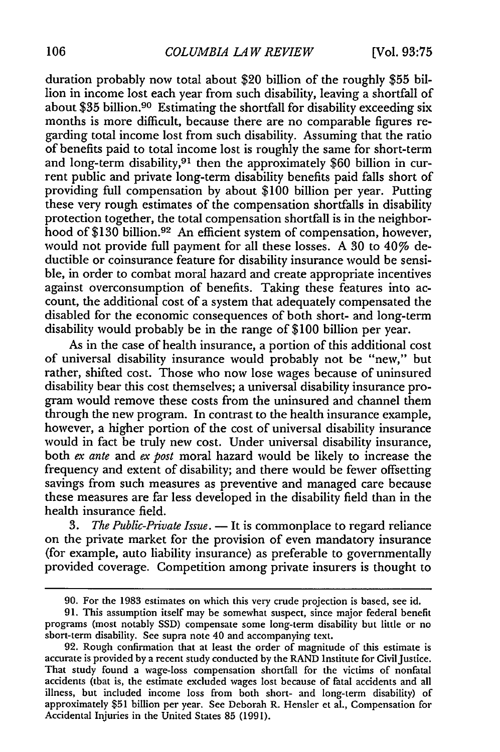duration probably now total about \$20 billion of the roughly \$55 billion in income lost each year from such disability, leaving a shortfall of about \$35 billion.90 Estimating the shortfall for disability exceeding six months is more difficult, because there are no comparable figures regarding total income lost from such disability. Assuming that the ratio of benefits paid to total income lost is roughly the same for short-term and long-term disability,<sup>91</sup> then the approximately \$60 billion in current public and private long-term disability benefits paid falls short of providing full compensation by about \$100 billion per year. Putting these very rough estimates of the compensation shortfalls in disability protection together, the total compensation shortfall is in the neighborhood of \$130 billion.92 An efficient system of compensation, however, would not provide full payment for all these losses. A 30 to  $40\%$  deductible or coinsurance feature for disability insurance would be sensible, in order to combat moral hazard and create appropriate incentives against overconsumption of benefits. Taking these features into account, the additional cost of a system that adequately compensated the disabled for the economic consequences of both short- and long-term disability would probably be in the range of \$100 billion per year.

As in the case of health insurance, a portion of this additional cost of universal disability insurance would probably not be "new," but rather, shifted cost. Those who now lose wages because of uninsured disability bear this cost themselves; a universal disability insurance program would remove these costs from the uninsured and channel them through the new program. In contrast to the health insurance example, however, a higher portion of the cost of universal disability insurance would in fact be truly new cost. Under universal disability insurance, both *ex ante* and *ex post* moral hazard would be likely to increase the frequency and extent of disability; and there would be fewer offsetting savings from such measures as preventive and managed care because these measures are far less developed in the disability field than in the health insurance field.

*3. The Public-Private Issue.* **-** It is commonplace to regard reliance on the private market for the provision of even mandatory insurance (for example, auto liability insurance) as preferable to governmentally provided coverage. Competition among private insurers is thought to

**<sup>90.</sup>** For the 1983 estimates on which this very crude projection is based, see id.

<sup>91.</sup> This assumption itself may be somewhat suspect, since major federal benefit programs (most notably SSD) compensate some long-term disability but little or no short-term disability. See supra note 40 and accompanying text.

<sup>92.</sup> Rough confirmation that at least the order of magnitude of this estimate is accurate is provided by a recent study conducted by the RAND Institute for Civil Justice. That study found a wage-loss compensation shortfall for the victims of nonfatal accidents (that is, the estimate excluded wages lost because of fatal accidents and all illness, but included income loss from both short- and long-term disability) of approximately \$51 billion per year. See Deborah R. Hensler et al., Compensation for Accidental Injuries in the United States 85 (1991).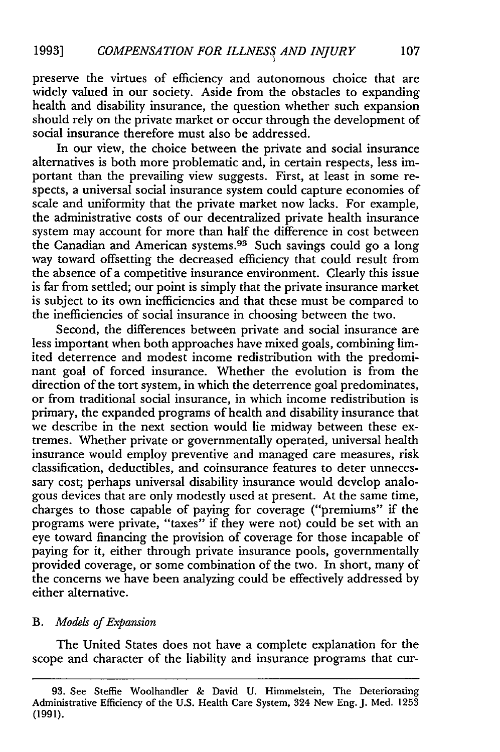preserve the virtues of efficiency and autonomous choice that are widely valued in our society. Aside from the obstacles to expanding health and disability insurance, the question whether such expansion should rely on the private market or occur through the development of social insurance therefore must also be addressed.

In our view, the choice between the private and social insurance alternatives is both more problematic and, in certain respects, less important than the prevailing view suggests. First, at least in some respects, a universal social insurance system could capture economies of scale and uniformity that the private market now lacks. For example, the administrative costs of our decentralized private health insurance system may account for more than half the difference in cost between the Canadian and American systems.93 Such savings could go a long way toward offsetting the decreased efficiency that could result from the absence of a competitive insurance environment. Clearly this issue is far from settled; our point is simply that the private insurance market is subject to its own inefficiencies and that these must be compared to the inefficiencies of social insurance in choosing between the two.

Second, the differences between private and social insurance are less important when both approaches have mixed goals, combining limited deterrence and modest income redistribution with the predominant goal of forced insurance. Whether the evolution is from the direction of the tort system, in which the deterrence goal predominates, or from traditional social insurance, in which income redistribution is primary, the expanded programs of health and disability insurance that we describe in the next section would lie midway between these extremes. Whether private or governmentally operated, universal health insurance would employ preventive and managed care measures, risk classification, deductibles, and coinsurance features to deter unnecessary cost; perhaps universal disability insurance would develop analogous devices that are only modestly used at present. At the same time, charges to those capable of paying for coverage ("premiums" if the programs were private, "taxes" if they were not) could be set with an eye toward financing the provision of coverage for those incapable of paying for it, either through private insurance pools, governmentally provided coverage, or some combination of the two. In short, many of the concerns we have been analyzing could be effectively addressed by either alternative.

### *B. Models of Expansion*

The United States does not have a complete explanation for the scope and character of the liability and insurance programs that cur-

<sup>93.</sup> See Steffie Woolhandler & David U. Himmelstein, The Deteriorating Administrative Efficiency of the U.S. Health Care System, 324 New Eng. J. Med. 1253 **(1991).**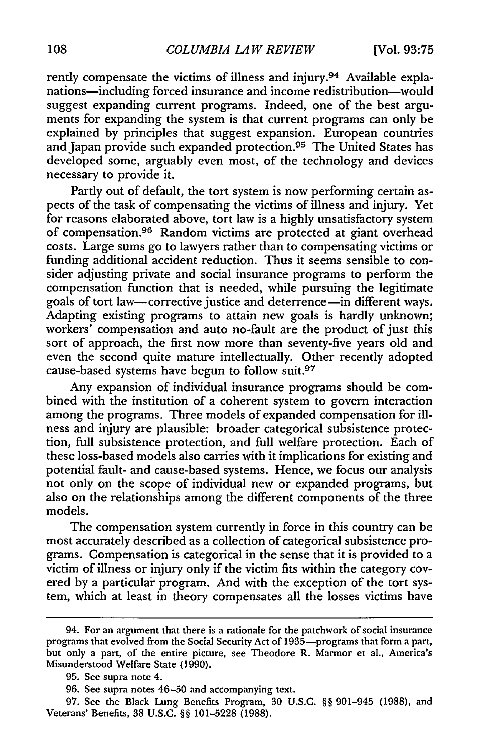rently compensate the victims of illness and injury.<sup>94</sup> Available explanations-including forced insurance and income redistribution-would suggest expanding current programs. Indeed, one of the best arguments for expanding the system is that current programs can only be explained by principles that suggest expansion. European countries and Japan provide such expanded protection.<sup>95</sup> The United States has developed some, arguably even most, of the technology and devices necessary to provide it.

Partly out of default, the tort system is now performing certain aspects of the task of compensating the victims of illness and injury. Yet for reasons elaborated above, tort law is a highly unsatisfactory system of compensation. 96 Random victims are protected at giant overhead costs. Large sums go to lawyers rather than to compensating victims or funding additional accident reduction. Thus it seems sensible to consider adjusting private and social insurance programs to perform the compensation function that is needed, while pursuing the legitimate goals of tort law-corrective justice and deterrence-in different ways. Adapting existing programs to attain new goals is hardly unknown; workers' compensation and auto no-fault are the product of just this sort of approach, the first now more than seventy-five years old and even the second quite mature intellectually. Other recently adopted cause-based systems have begun to follow suit.<sup>97</sup>

Any expansion of individual insurance programs should be combined with the institution of a coherent system to govern interaction among the programs. Three models of expanded compensation for illness and injury are plausible: broader categorical subsistence protection, full subsistence protection, and full welfare protection. Each of these loss-based models also carries with it implications for existing and potential fault- and cause-based systems. Hence, we focus our analysis not only on the scope of individual new or expanded programs, but also on the relationships among the different components of the three models.

The compensation system currently in force in this country can be most accurately described as a collection of categorical subsistence programs. Compensation is categorical in the sense that it is provided to a victim of illness or injury only if the victim fits within the category covered by a particular program. And with the exception of the tort system, which at least in theory compensates all the losses victims have

<sup>94.</sup> For an argument that there is a rationale for the patchwork of social insurance programs that evolved from the Social Security Act of 1935-programs that form a part, but only a part, of the entire picture, see Theodore R. Marmor et al., America's Misunderstood Welfare State (1990).

<sup>95.</sup> See supra note 4.

<sup>96.</sup> See supra notes 46-50 and accompanying text.

<sup>97.</sup> See the Black Lung Benefits Program, 30 U.S.C. §§ 901-945 (1988), and Veterans' Benefits, 38 U.S.C. §§ 101-5228 (1988).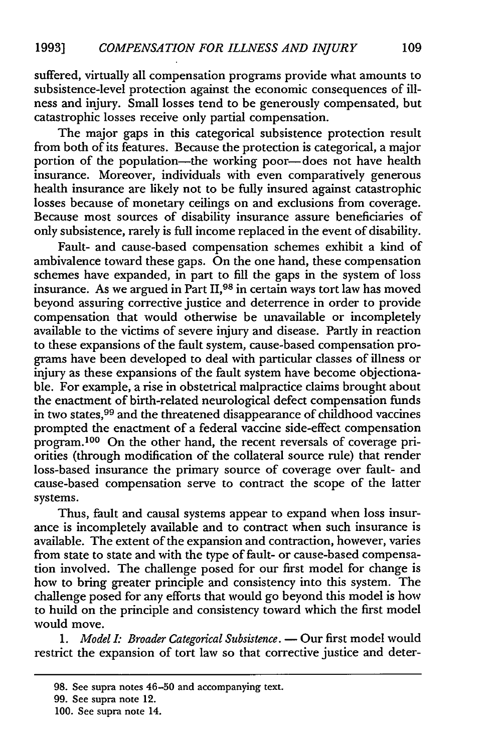suffered, virtually all compensation programs provide what amounts to subsistence-level protection against the economic consequences of illness and injury. Small losses tend to be generously compensated, but catastrophic losses receive only partial compensation.

The major gaps in this categorical subsistence protection result from both of its features. Because the protection is categorical, a major portion of the population-the working poor-does not have health insurance. Moreover, individuals with even comparatively generous health insurance are likely not to be fully insured against catastrophic losses because of monetary ceilings on and exclusions from coverage. Because most sources of disability insurance assure beneficiaries of only subsistence, rarely is full income replaced in the event of disability.

Fault- and cause-based compensation schemes exhibit a kind of ambivalence toward these gaps. On the one hand, these compensation schemes have expanded, in part to fill the gaps in the system of loss insurance. As we argued in Part II,98 in certain ways tort law has moved beyond assuring corrective justice and deterrence in order to provide compensation that would otherwise be unavailable or incompletely available to the victims of severe injury and disease. Partly in reaction to these expansions of the fault system, cause-based compensation programs have been developed to deal with particular classes of illness or injury as these expansions of the fault system have become objectionable. For example, a rise in obstetrical malpractice claims brought about the enactment of birth-related neurological defect compensation funds in two states, 99 and the threatened disappearance of childhood vaccines prompted the enactment of a federal vaccine side-effect compensation program.<sup>100</sup> On the other hand, the recent reversals of coverage priorities (through modification of the collateral source rule) that render loss-based insurance the primary source of coverage over fault- and cause-based compensation serve to contract the scope of the latter systems.

Thus, fault and causal systems appear to expand when loss insurance is incompletely available and to contract when such insurance is available. The extent of the expansion and contraction, however, varies from state to state and with the type of fault- or cause-based compensation involved. The challenge posed for our first model for change is how to bring greater principle and consistency into this system. The challenge posed for any efforts that would go beyond this model is how to build on the principle and consistency toward which the first model would move.

1. *Model I: Broader Categorical Subsistence*. — Our first model would restrict the expansion of tort law so that corrective justice and deter-

<sup>98.</sup> See supra notes 46-50 and accompanying text.

<sup>99.</sup> See supra note 12.

<sup>100.</sup> See supra note 14.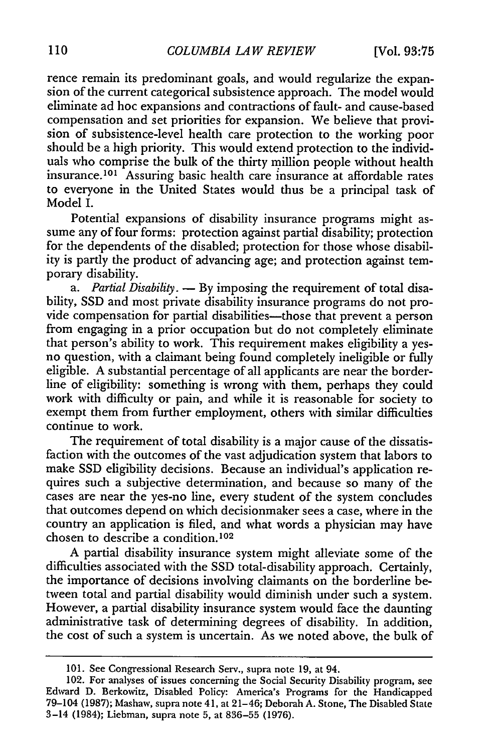rence remain its predominant goals, and would regularize the expansion of the current categorical subsistence approach. The model would eliminate ad hoc expansions and contractions of fault- and cause-based compensation and set priorities for expansion. We believe that provision of subsistence-level health care protection to the working poor should be a high priority. This would extend protection to the individuals who comprise the bulk of the thirty million people without health insurance.<sup>101</sup> Assuring basic health care insurance at affordable rates to everyone in the United States would thus be a principal task of Model I.

Potential expansions of disability insurance programs might assume any of four forms: protection against partial disability; protection for the dependents of the disabled; protection for those whose disability is partly the product of advancing age; and protection against temporary disability.

*a. Partial Disability.* **-** By imposing the requirement of total disability, SSD and most private disability insurance programs do not provide compensation for partial disabilities-those that prevent a person from engaging in a prior occupation but do not completely eliminate that person's ability to work. This requirement makes eligibility a yesno question, with a claimant being found completely ineligible or fully eligible. A substantial percentage of all applicants are near the borderline of eligibility: something is wrong with them, perhaps they could work with difficulty or pain, and while it is reasonable for society to exempt them from further employment, others with similar difficulties continue to work.

The requirement of total disability is a major cause of the dissatisfaction with the outcomes of the vast adjudication system that labors to make SSD eligibility decisions. Because an individual's application requires such a subjective determination, and because so many of the cases are near the yes-no line, every student of the system concludes that outcomes depend on which decisionmaker sees a case, where in the country an application is filed, and what words a physician may have chosen to describe a condition.<sup>102</sup>

A partial disability insurance system might alleviate some of the difficulties associated with the SSD total-disability approach. Certainly, the importance of decisions involving claimants on the borderline between total and partial disability would diminish under such a system. However, a partial disability insurance system would face the daunting administrative task of determining degrees of disability. In addition, the cost of such a system is uncertain. As we noted above, the bulk of

<sup>101.</sup> See Congressional Research Serv., supra note **19,** at 94.

<sup>102.</sup> For analyses of issues concerning the Social Security Disability program, **see** Edward **D.** Berkowitz, Disabled Policy: America's Programs for the Handicapped 79-104 **(1987);** Mashaw, supra note 41, at 21-46; Deborah **A.** Stone, The Disabled State 3-14 (1984); Liebman, supra note **5,** at **836-55 (1976).**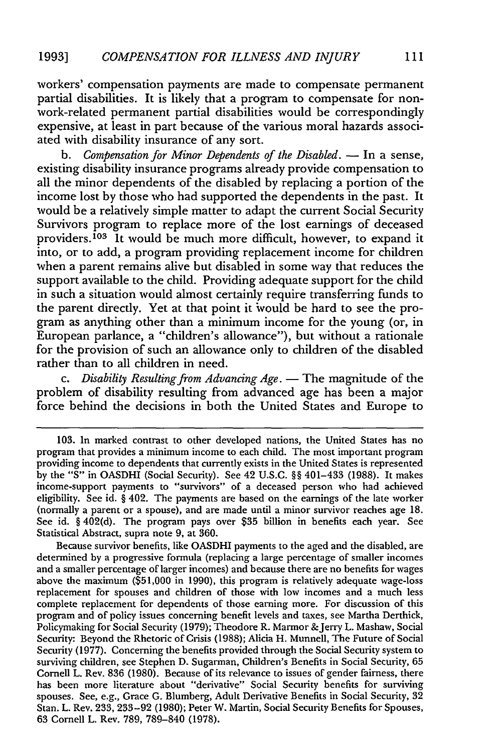workers' compensation payments are made to compensate permanent partial disabilities. It is likely that a program to compensate for nonwork-related permanent partial disabilities would be correspondingly expensive, at least in part because of the various moral hazards associated with disability insurance of any sort.

*b. Compensation for Minor Dependents of the Disabled.* **-** In a sense, existing disability insurance programs already provide compensation to all the minor dependents of the disabled by replacing a portion of the income lost by those who had supported the dependents in the past. It would be a relatively simple matter to adapt the current Social Security Survivors program to replace more of the lost earnings of deceased providers.<sup>103</sup> It would be much more difficult, however, to expand it into, or to add, a program providing replacement income for children when a parent remains alive but disabled in some way that reduces the support available to the child. Providing adequate support for the child in such a situation would almost certainly require transferring funds to the parent directly. Yet at that point it would be hard to see the program as anything other than a minimum income for the young (or, in European parlance, a "children's allowance"), but without a rationale for the provision of such an allowance only to children of the disabled rather than to all children in need.

*c. Disability Resulting from Advancing Age.* **-** The magnitude of the problem of disability resulting from advanced age has been a major force behind the decisions in both the United States and Europe to

Because survivor benefits, like OASDHI payments to the aged and the disabled, are determined by a progressive formula (replacing a large percentage of smaller incomes and a smaller percentage of larger incomes) and because there are no benefits for wages above the maximum (\$51,000 in 1990), this program is relatively adequate wage-loss replacement for spouses and children of those with low incomes and a much less complete replacement for dependents of those earning more. For discussion of this program and of policy issues concerning benefit levels and taxes, see Martha Derthick, Policymaking for Social Security (1979); Theodore R. Marmor & Jerry L. Mashaw, Social Security: Beyond the Rhetoric of Crisis (1988); Alicia H. Munnell, The Future of Social Security (1977). Concerning the benefits provided through the Social Security system to surviving children, see Stephen D. Sugarman, Children's Benefits in Social Security, 65 Cornell L. Rev. 836 (1980). Because of its relevance to issues of gender fairness, there has been more literature about "derivative" Social Security benefits for surviving spouses. See, e.g., Grace G. Blumberg, Adult Derivative Benefits in Social Security, 32 Stan. L. Rev. 233, 233-92 (1980); Peter W. Martin, Social Security Benefits for Spouses, 63 Cornell L. Rev. 789, 789-840 (1978).

<sup>103.</sup> In marked contrast to other developed nations, the United States has no program that provides a minimum income to each child. The most important program providing income to dependents that currently exists in the United States is represented by the **"S"** in OASDHI (Social Security). See 42 U.S.C. §§ 401-433 (1988). It makes income-support payments to "survivors" of a deceased person who had achieved eligibility. See id. § 402. The payments are based on the earnings of the late worker (normally a parent or a spouse), and are made until a minor survivor reaches age 18. See id. § 402(d). The program pays over \$35 billion in benefits each year. See Statistical Abstract, supra note 9, at 360.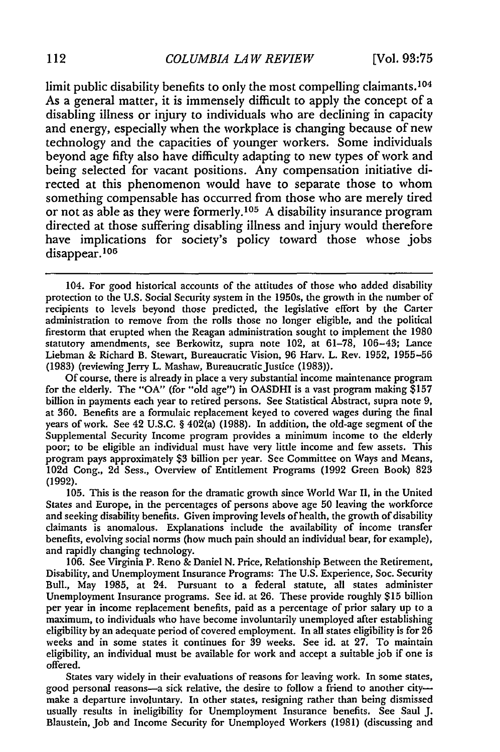limit public disability benefits to only the most compelling claimants.<sup>104</sup> As a general matter, it is immensely difficult to apply the concept of a disabling illness or injury to individuals who are declining in capacity and energy, especially when the workplace is changing because of new technology and the capacities of younger workers. Some individuals beyond age fifty also have difficulty adapting to new types of work and being selected for vacant positions. Any compensation initiative directed at this phenomenon would have to separate those to whom something compensable has occurred from those who are merely tired or not as able as they were formerly.<sup>105</sup> A disability insurance program directed at those suffering disabling illness and injury would therefore have implications for society's policy toward those whose jobs disappear. <sup>106</sup>

104. For good historical accounts of the attitudes of those who added disability protection to the U.S. Social Security system in the 1950s, the growth in the number of recipients to levels beyond those predicted, the legislative effort by the Carter administration to remove from the rolls those no longer eligible, and the political firestorm that erupted when the Reagan administration sought to implement the 1980 statutory amendments, see Berkowitz, supra note 102, at 61-78, 106-43; Lance Liebman & Richard B. Stewart, Bureaucratic Vision, 96 Harv. L. Rev. 1952, 1955-56 (1983) (reviewing Jerry L. Mashaw, Bureaucratic Justice (1983)).

Of course, there is already in place a very substantial income maintenance program for the elderly. The "OA" (for "old age") in OASDHI is a vast program making \$157 billion in payments each year to retired persons. See Statistical Abstract, supra note 9, at 360. Benefits are a formulaic replacement keyed to covered wages during the final years of work. See 42 U.S.C. § 402(a) (1988). In addition, the old-age segment of the Supplemental Security Income program provides a minimum income to the elderly poor; to be eligible an individual must have very little income and few assets. This program pays approximately \$3 billion per year. See Committee on Ways and Means, 102d Cong., 2d Sess., Overview of Entitlement Programs (1992 Green Book) 823 (1992).

105. This is the reason for the dramatic growth since World War II, in the United States and Europe, in the percentages of persons above age 50 leaving the workforce and seeking disability benefits. Given improving levels of health, the growth of disability claimants is anomalous. Explanations include the availability of income transfer benefits, evolving social norms (how much pain should an individual bear, for example), and rapidly changing technology.

106. See Virginia P. Reno & Daniel N. Price, Relationship Between the Retirement, Disability, and Unemployment Insurance Programs: The U.S. Experience, Soc. Security Bull., May 1985, at 24. Pursuant to a federal statute, all states administer Unemployment Insurance programs. See id. at 26. These provide roughly \$15 billion per year in income replacement benefits, paid as a percentage of prior salary up to a maximum, to individuals who have become involuntarily unemployed after establishing eligibility by an adequate period of covered employment. In all states eligibility is for 26 weeks and in some states it continues for 39 weeks. See id. at 27. To maintain eligibility, an individual must be available for work and accept a suitable job if one is offered.

States vary widely in their evaluations of reasons for leaving work. In some states, good personal reasons-a sick relative, the desire to follow a friend to another citymake a departure involuntary. In other states, resigning rather than being dismissed usually results in ineligibility for Unemployment Insurance benefits. See Saul J. Blaustein, Job and Income Security for Unemployed Workers (1981) (discussing and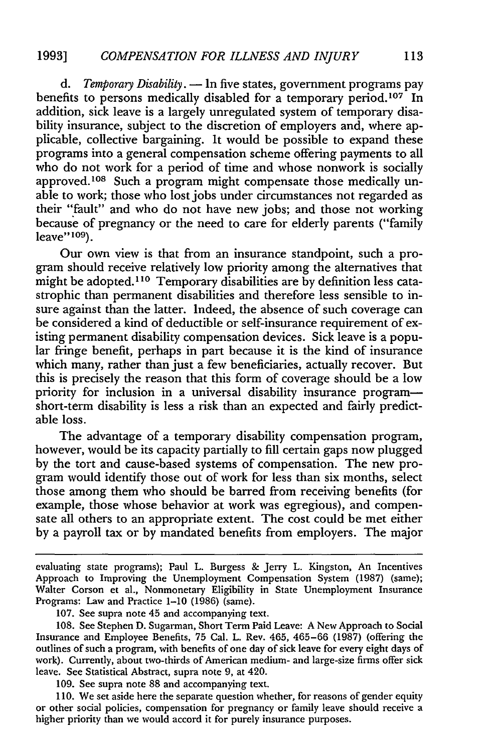*d. Temporary Disability.* **-** In five states, government programs pay benefits to persons medically disabled for a temporary period.<sup>107</sup> In addition, sick leave is a largely unregulated system of temporary disability insurance, subject to the discretion of employers and, where applicable, collective bargaining. It would be possible to expand these programs into a general compensation scheme offering payments to all who do not work for a period of time and whose nonwork is socially approved.<sup>108</sup> Such a program might compensate those medically unable to work; those who lost jobs under circumstances not regarded as their "fault" and who do not have new jobs; and those not working because of pregnancy or the need to care for elderly parents ("family leave" **109).**

Our own view is that from an insurance standpoint, such a program should receive relatively low priority among the alternatives that might be adopted." **1 <sup>0</sup>**Temporary disabilities are **by** definition less catastrophic than permanent disabilities and therefore less sensible to insure against than the latter. Indeed, the absence of such coverage can be considered a kind of deductible or self-insurance requirement of existing permanent disability compensation devices. Sick leave is a popular fringe benefit, perhaps in part because it is the kind of insurance which many, rather than just a few beneficiaries, actually recover. But this is precisely the reason that this form of coverage should be a low priority for inclusion in a universal disability insurance programshort-term disability is less a risk than an expected and fairly predictable loss.

The advantage of a temporary disability compensation program, however, would be its capacity partially to **fill** certain gaps now plugged **by** the tort and cause-based systems of compensation. The new program would identify those out of work for less than six months, select those among them who should be barred from receiving benefits (for example, those whose behavior at work was egregious), and compensate all others to an appropriate extent. The cost could be met either by a payroll tax or by mandated benefits from employers. The major

107. See supra note 45 and accompanying text.

109. See supra note 88 and accompanying text.

110. We set aside here the separate question whether, for reasons of gender equity or other social policies, compensation for pregnancy or family leave should receive a higher priority than we would accord it for purely insurance purposes.

evaluating state programs); Paul L. Burgess & Jerry L. Kingston, An Incentives Approach to Improving the Unemployment Compensation System (1987) (same); Walter Corson et al., Nonmonetary Eligibility in State Unemployment Insurance Programs: Law and Practice 1-10 (1986) (same).

<sup>108.</sup> See Stephen D. Sugarman, Short Term Paid Leave: A New Approach to Social Insurance and Employee Benefits, 75 Cal. L. Rev. 465, 465-66 (1987) (offering the outlines of such a program, with benefits of one day of sick leave for every eight days of work). Currently, about two-thirds of American medium- and large-size firms offer sick leave. See Statistical Abstract, supra note 9, at 420.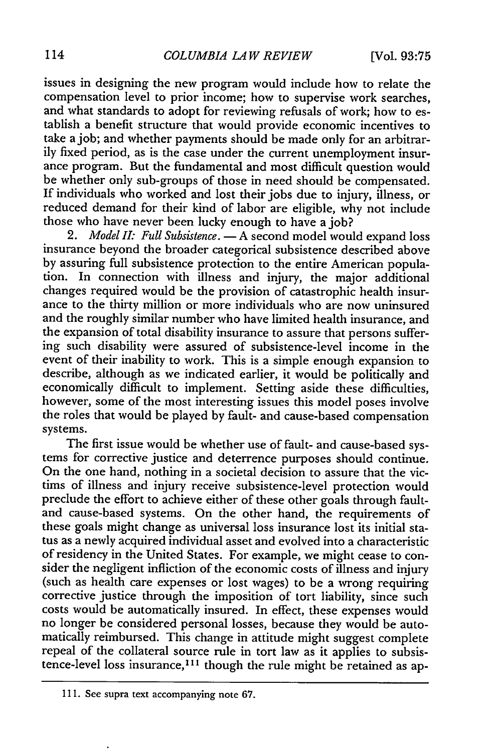issues in designing the new program would include how to relate the compensation level to prior income; how to supervise work searches, and what standards to adopt for reviewing refusals of work; how to establish a benefit structure that would provide economic incentives to take a job; and whether payments should be made only for an arbitrarily fixed period, as is the case under the current unemployment insurance program. But the fundamental and most difficult question would be whether only sub-groups of those in need should be compensated. If individuals who worked and lost their jobs due to injury, illness, or reduced demand for their kind of labor are eligible, why not include those who have never been lucky enough to have a job?

2. *Model II: Full Subsistence*. **-** A second model would expand loss insurance beyond the broader categorical subsistence described above by assuring full subsistence protection to the entire American population. In connection with illness and injury, the major additional changes required would be the provision of catastrophic health insurance to the thirty million or more individuals who are now uninsured and the roughly similar number who have limited health insurance, and the expansion of total disability insurance to assure that persons suffering such disability were assured of subsistence-level income in the event of their inability to work. This is a simple enough expansion to describe, although as we indicated earlier, it would be politically and economically difficult to implement. Setting aside these difficulties, however, some of the most interesting issues this model poses involve the roles that would be played by fault- and cause-based compensation systems.

The first issue would be whether use of fault- and cause-based systems for corrective justice and deterrence purposes should continue. On the one hand, nothing in a societal decision to assure that the victims of illness and injury receive subsistence-level protection would preclude the effort to achieve either of these other goals through faultand cause-based systems. On the other hand, the requirements of these goals might change as universal loss insurance lost its initial status as a newly acquired individual asset and evolved into a characteristic of residency in the United States. For example, we might cease to consider the negligent infliction of the economic costs of illness and injury (such as health care expenses or lost wages) to be a wrong requiring corrective justice through the imposition of tort liability, since such costs would be automatically insured. In effect, these expenses would no longer be considered personal losses, because they would be automatically reimbursed. This change in attitude might suggest complete repeal of the collateral source rule in tort law as it applies to subsistence-level loss insurance,<sup>111</sup> though the rule might be retained as ap-

<sup>111.</sup> See supra text accompanying note 67.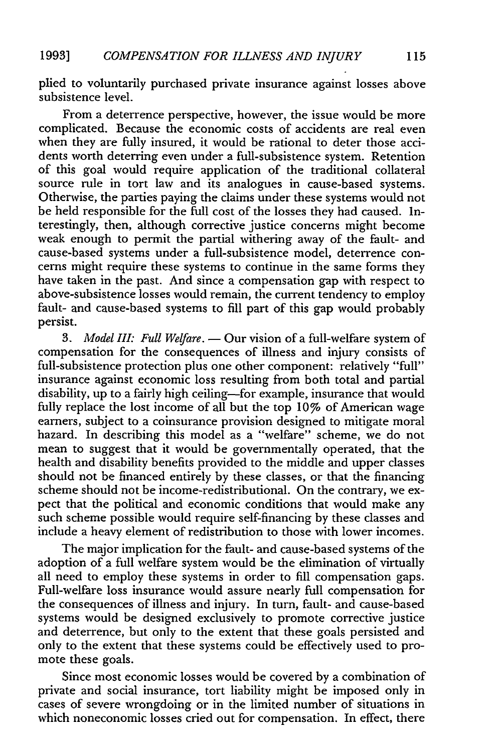plied to voluntarily purchased private insurance against losses above subsistence level.

From a deterrence perspective, however, the issue would be more complicated. Because the economic costs of accidents are real even when they are fully insured, it would be rational to deter those accidents worth deterring even under a full-subsistence system. Retention of this goal would require application of the traditional collateral source rule in tort law and its analogues in cause-based systems. Otherwise, the parties paying the claims under these systems would not be held responsible for the full cost of the losses they had caused. Interestingly, then, although corrective justice concerns might become weak enough to permit the partial withering away of the fault- and cause-based systems under a full-subsistence model, deterrence concerns might require these systems to continue in the same forms they have taken in the past. And since a compensation gap with respect to above-subsistence losses would remain, the current tendency to employ fault- and cause-based systems to **fill** part of this gap would probably persist.

*3. Model III: Full Welfare.* **-** Our vision of a full-welfare system of compensation for the consequences of illness and injury consists of full-subsistence protection plus one other component: relatively **"full"** insurance against economic loss resulting from both total and partial disability, up to a fairly high ceiling-for example, insurance that would fully replace the lost income of all but the top 10% of American wage earners, subject to a coinsurance provision designed to mitigate moral hazard. In describing this model as a "welfare" scheme, we do not mean to suggest that it would be governmentally operated, that the health and disability benefits provided to the middle and upper classes should not be financed entirely **by** these classes, or that the financing scheme should not be income-redistributional. On the contrary, we expect that the political and economic conditions that would make any such scheme possible would require self-financing **by** these classes and include a heavy element of redistribution to those with lower incomes.

The major implication for the fault- and cause-based systems of the adoption of a full welfare system would be the elimination of virtually all need to employ these systems in order to **fill** compensation gaps. Full-welfare loss insurance would assure nearly full compensation for the consequences of illness and injury. In turn, fault- and cause-based systems would be designed exclusively to promote corrective justice and deterrence, but only to the extent that these goals persisted and only to the extent that these systems could be effectively used to promote these goals.

Since most economic losses would be covered **by** a combination of private and social insurance, tort liability might be imposed only in cases of severe wrongdoing or in the limited number of situations in which noneconomic losses cried out for compensation. In effect, there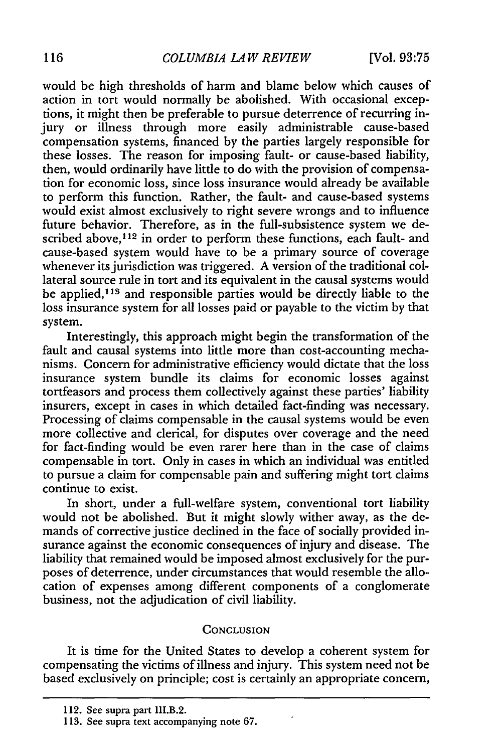would be high thresholds of harm and blame below which causes of action in tort would normally be abolished. With occasional exceptions, it might then be preferable to pursue deterrence of recurring injury or illness through more easily administrable cause-based compensation systems, financed by the parties largely responsible for these losses. The reason for imposing fault- or cause-based liability, then, would ordinarily have little to do with the provision of compensation for economic loss, since loss insurance would already be available to perform this function. Rather, the fault- and cause-based systems would exist almost exclusively to right severe wrongs and to influence future behavior. Therefore, as in the full-subsistence system we described above,<sup>112</sup> in order to perform these functions, each fault- and cause-based system would have to be a primary source of coverage whenever its jurisdiction was triggered. A version of the traditional collateral source rule in tort and its equivalent in the causal systems would be applied, 113 and responsible parties would be directly liable to the loss insurance system for all losses paid or payable to the victim by that system.

Interestingly, this approach might begin the transformation of the fault and causal systems into little more than cost-accounting mechanisms. Concern for administrative efficiency would dictate that the loss insurance system bundle its claims for economic losses against tortfeasors and process them collectively against these parties' liability insurers, except in cases in which detailed fact-finding was necessary. Processing of claims compensable in the causal systems would be even more collective and clerical, for disputes over coverage and the need for fact-finding would be even rarer here than in the case of claims compensable in tort. Only in cases in which an individual was entitled to pursue a claim for compensable pain and suffering might tort claims continue to exist.

In short, under a full-welfare system, conventional tort liability would not be abolished. But it might slowly wither away, as the demands of corrective justice declined in the face of socially provided insurance against the economic consequences of injury and disease. The liability that remained would be imposed almost exclusively for the purposes of deterrence, under circumstances that would resemble the allocation of expenses among different components of a conglomerate business, not the adjudication of civil liability.

#### **CONCLUSION**

It is time for the United States to develop a coherent system for compensating the victims of illness and injury. This system need not be based exclusively on principle; cost is certainly an appropriate concern,

<sup>112.</sup> See supra part III.B.2.

<sup>113.</sup> See supra text accompanying note **67.**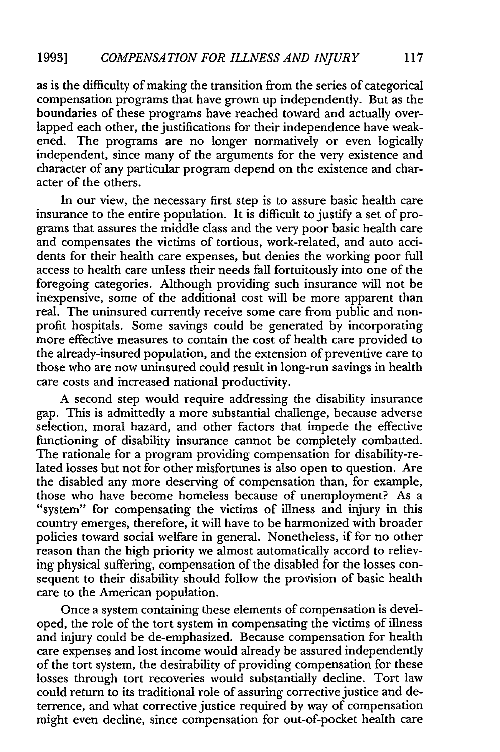as is the difficulty of making the transition from the series of categorical compensation programs that have grown up independently. But as the boundaries of these programs have reached toward and actually overlapped each other, the justifications for their independence have weakened. The programs are no longer normatively or even logically independent, since many of the arguments for the very existence and character of any particular program depend on the existence and character of the others.

In our view, the necessary first step is to assure basic health care insurance to the entire population. It is difficult to justify a set of programs that assures the middle class and the very poor basic health care and compensates the victims of tortious, work-related, and auto accidents for their health care expenses, but denies the working poor full access to health care unless their needs fall fortuitously into one of the foregoing categories. Although providing such insurance will not be inexpensive, some of the additional cost will be more apparent than real. The uninsured currently receive some care from public and nonprofit hospitals. Some savings could be generated by incorporating more effective measures to contain the cost of health care provided to the already-insured population, and the extension of preventive care to those who are now uninsured could result in long-run savings in health care costs and increased national productivity.

A second step would require addressing the disability insurance gap. This is admittedly a more substantial challenge, because adverse selection, moral hazard, and other factors that impede the effective functioning of disability insurance cannot be completely combatted. The rationale for a program providing compensation for disability-related losses but not for other misfortunes is also open to question. Are the disabled any more deserving of compensation than, for example, those who have become homeless because of unemployment? As a "system" for compensating the victims of illness and injury in this country emerges, therefore, it will have to be harmonized with broader policies toward social welfare in general. Nonetheless, if for no other reason than the high priority we almost automatically accord to relieving physical suffering, compensation of the disabled for the losses consequent to their disability should follow the provision of basic health care to the American population.

Once a system containing these elements of compensation is developed, the role of the tort system in compensating the victims of illness and injury could be de-emphasized. Because compensation for health care expenses and lost income would already be assured independently of the tort system, the desirability of providing compensation for these losses through tort recoveries would substantially decline. Tort law could return to its traditional role of assuring corrective justice and deterrence, and what corrective justice required by way of compensation might even decline, since compensation for out-of-pocket health care